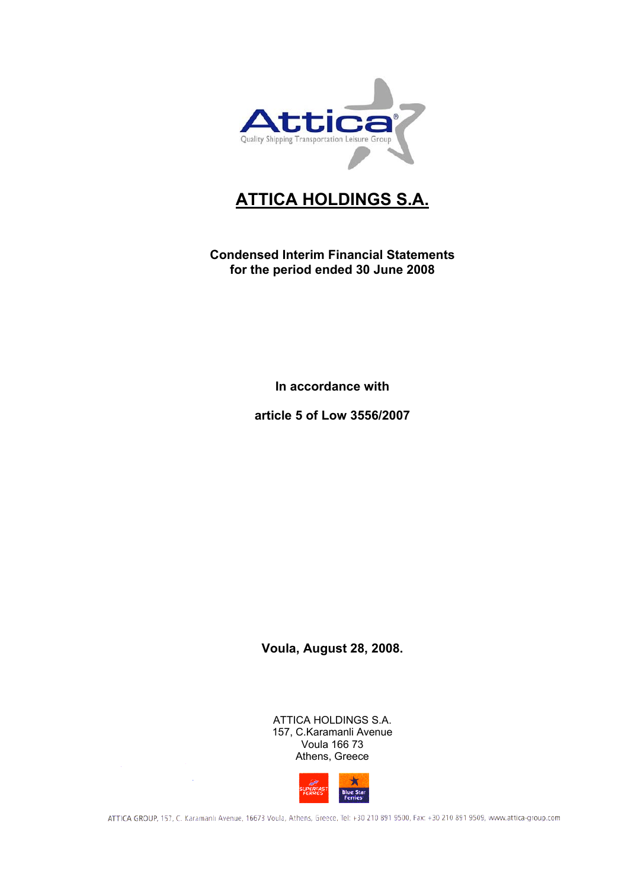

# **ATTICA HOLDINGS S.A.**

**Condensed Interim Financial Statements for the period ended 30 June 2008** 

**In accordance with** 

**article 5 of Low 3556/2007** 

**Voula, August 28, 2008.** 

ATTICA HOLDINGS S.A. 157, C.Karamanli Avenue Voula 166 73 Athens, Greece

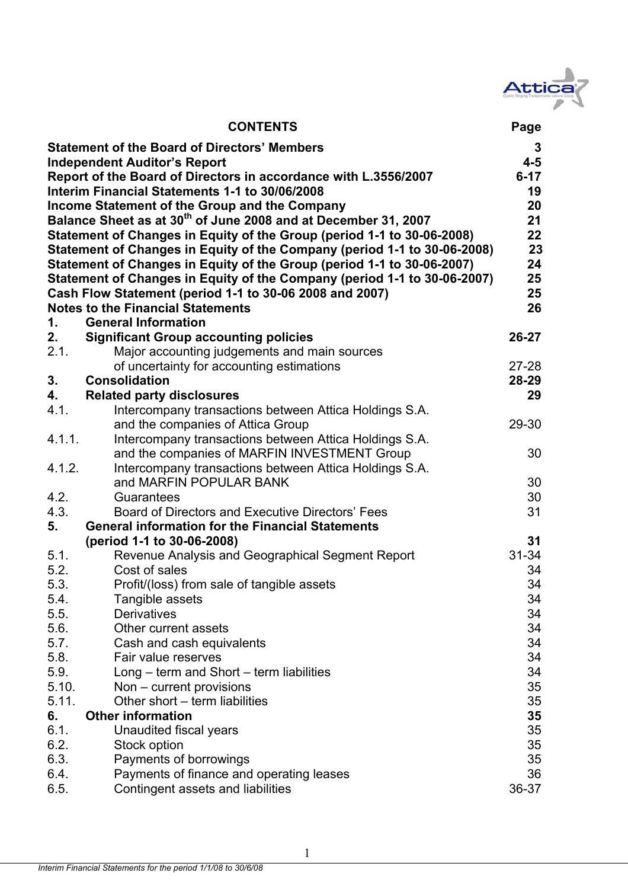

|                                     | <b>CONTENTS</b>                                                            | Page      |  |  |  |
|-------------------------------------|----------------------------------------------------------------------------|-----------|--|--|--|
|                                     | <b>Statement of the Board of Directors' Members</b>                        | 3         |  |  |  |
| <b>Independent Auditor's Report</b> |                                                                            |           |  |  |  |
|                                     | Report of the Board of Directors in accordance with L.3556/2007            | $6 - 17$  |  |  |  |
|                                     | Interim Financial Statements 1-1 to 30/06/2008                             | 19        |  |  |  |
|                                     | Income Statement of the Group and the Company                              | 20        |  |  |  |
|                                     | Balance Sheet as at 30 <sup>th</sup> of June 2008 and at December 31, 2007 | 21        |  |  |  |
|                                     | Statement of Changes in Equity of the Group (period 1-1 to 30-06-2008)     | 22        |  |  |  |
|                                     | Statement of Changes in Equity of the Company (period 1-1 to 30-06-2008)   | 23        |  |  |  |
|                                     | Statement of Changes in Equity of the Group (period 1-1 to 30-06-2007)     | 24        |  |  |  |
|                                     | Statement of Changes in Equity of the Company (period 1-1 to 30-06-2007)   | 25        |  |  |  |
|                                     | Cash Flow Statement (period 1-1 to 30-06 2008 and 2007)                    | 25        |  |  |  |
|                                     | <b>Notes to the Financial Statements</b><br><b>General Information</b>     | 26        |  |  |  |
| 1.<br>2.                            | <b>Significant Group accounting policies</b>                               | $26 - 27$ |  |  |  |
| 2.1.                                | Major accounting judgements and main sources                               |           |  |  |  |
|                                     | of uncertainty for accounting estimations                                  | $27 - 28$ |  |  |  |
| 3.                                  | <b>Consolidation</b>                                                       | $28 - 29$ |  |  |  |
| 4.                                  | <b>Related party disclosures</b>                                           | 29        |  |  |  |
| 4.1.                                | Intercompany transactions between Attica Holdings S.A.                     |           |  |  |  |
|                                     | and the companies of Attica Group                                          | 29-30     |  |  |  |
| 4.1.1.                              | Intercompany transactions between Attica Holdings S.A.                     |           |  |  |  |
|                                     | and the companies of MARFIN INVESTMENT Group                               | 30        |  |  |  |
| 4.1.2.                              | Intercompany transactions between Attica Holdings S.A.                     |           |  |  |  |
|                                     | and MARFIN POPULAR BANK                                                    | 30        |  |  |  |
| 4.2.                                | Guarantees                                                                 | 30        |  |  |  |
| 4.3.                                | Board of Directors and Executive Directors' Fees                           | 31        |  |  |  |
| 5.                                  | <b>General information for the Financial Statements</b>                    |           |  |  |  |
|                                     | (period 1-1 to 30-06-2008)                                                 | 31        |  |  |  |
| 5.1.                                | Revenue Analysis and Geographical Segment Report                           | $31 - 34$ |  |  |  |
| 5.2.                                | Cost of sales                                                              | 34        |  |  |  |
| 5.3.                                | Profit/(loss) from sale of tangible assets                                 | 34        |  |  |  |
| 5.4.                                | Tangible assets                                                            | 34        |  |  |  |
| 5.5.                                | <b>Derivatives</b>                                                         | 34        |  |  |  |
| 5.6.<br>5.7.                        | Other current assets                                                       | 34<br>34  |  |  |  |
| 5.8.                                | Cash and cash equivalents<br>Fair value reserves                           | 34        |  |  |  |
| 5.9.                                | Long – term and Short – term liabilities                                   | 34        |  |  |  |
| 5.10.                               | Non – current provisions                                                   | 35        |  |  |  |
| 5.11.                               | Other short - term liabilities                                             | 35        |  |  |  |
| 6.                                  | <b>Other information</b>                                                   | 35        |  |  |  |
| 6.1.                                | Unaudited fiscal years                                                     | 35        |  |  |  |
| 6.2.                                | Stock option                                                               | 35        |  |  |  |
| 6.3.                                | Payments of borrowings                                                     | 35        |  |  |  |
| 6.4.                                | Payments of finance and operating leases                                   | 36        |  |  |  |
| 6.5.                                | Contingent assets and liabilities                                          | 36-37     |  |  |  |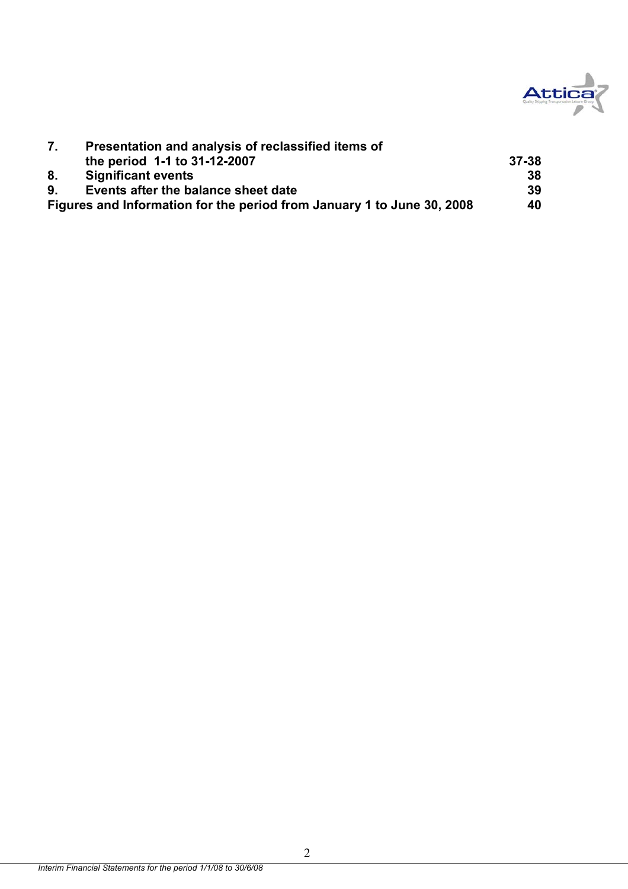

|    | Presentation and analysis of reclassified items of                     |       |
|----|------------------------------------------------------------------------|-------|
|    | the period 1-1 to 31-12-2007                                           | 37-38 |
| 8. | <b>Significant events</b>                                              | 38    |
| 9. | Events after the balance sheet date                                    | 39    |
|    | Figures and Information for the period from January 1 to June 30, 2008 | 40    |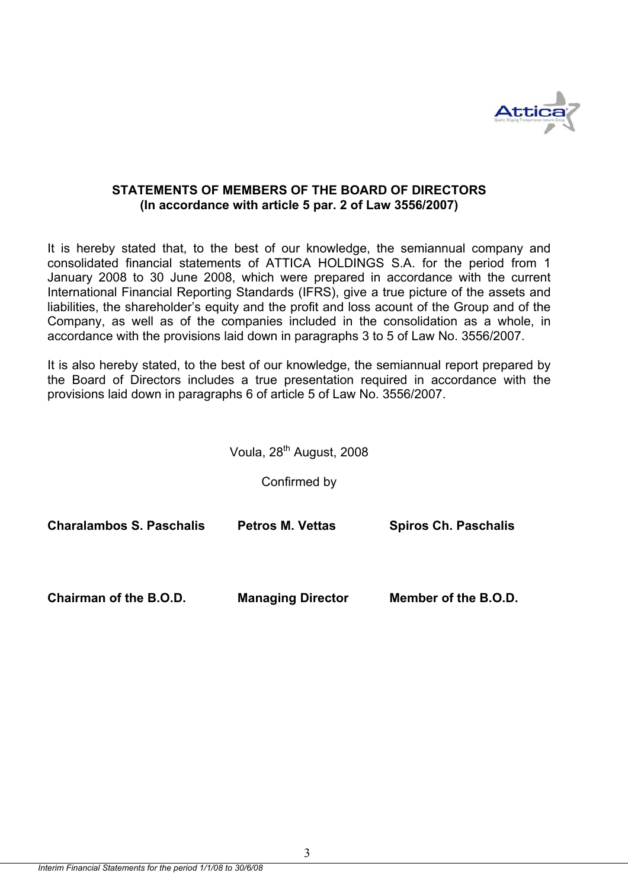

## **STATEMENTS OF MEMBERS OF THE BOARD OF DIRECTORS (In accordance with article 5 par. 2 of Law 3556/2007)**

It is hereby stated that, to the best of our knowledge, the semiannual company and consolidated financial statements of ATTICA HOLDINGS S.A. for the period from 1 January 2008 to 30 June 2008, which were prepared in accordance with the current International Financial Reporting Standards (IFRS), give a true picture of the assets and liabilities, the shareholder's equity and the profit and loss acount of the Group and of the Company, as well as of the companies included in the consolidation as a whole, in accordance with the provisions laid down in paragraphs 3 to 5 of Law No. 3556/2007.

It is also hereby stated, to the best of our knowledge, the semiannual report prepared by the Board of Directors includes a true presentation required in accordance with the provisions laid down in paragraphs 6 of article 5 of Law No. 3556/2007.

|  | Voula, 28 <sup>th</sup> August, 2008 |  |
|--|--------------------------------------|--|
|--|--------------------------------------|--|

Confirmed by

| Charalambos S. Paschalis      | <b>Petros M. Vettas</b>  | <b>Spiros Ch. Paschalis</b> |
|-------------------------------|--------------------------|-----------------------------|
| <b>Chairman of the B.O.D.</b> | <b>Managing Director</b> | Member of the B.O.D.        |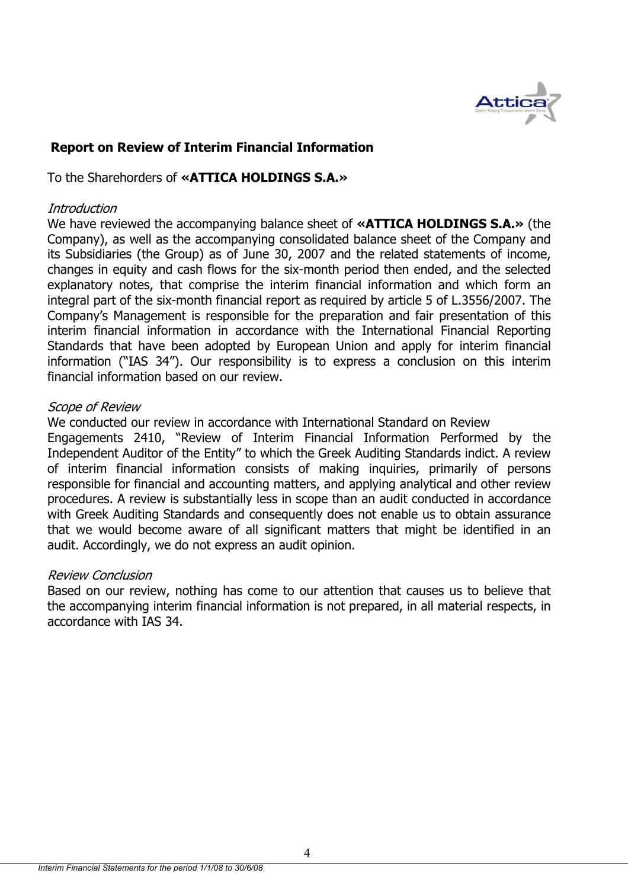

## **Report on Review of Interim Financial Information**

To the Sharehorders of **«ATTICA HOLDINGS S.A.»** 

## **Introduction**

We have reviewed the accompanying balance sheet of **«ATTICA HOLDINGS S.A.»** (the Company), as well as the accompanying consolidated balance sheet of the Company and its Subsidiaries (the Group) as of June 30, 2007 and the related statements of income, changes in equity and cash flows for the six-month period then ended, and the selected explanatory notes, that comprise the interim financial information and which form an integral part of the six-month financial report as required by article 5 of L.3556/2007. The Company's Management is responsible for the preparation and fair presentation of this interim financial information in accordance with the International Financial Reporting Standards that have been adopted by European Union and apply for interim financial information ("IAS 34"). Our responsibility is to express a conclusion on this interim financial information based on our review.

## Scope of Review

We conducted our review in accordance with International Standard on Review

Engagements 2410, "Review of Interim Financial Information Performed by the Independent Auditor of the Entity" to which the Greek Auditing Standards indict. A review of interim financial information consists of making inquiries, primarily of persons responsible for financial and accounting matters, and applying analytical and other review procedures. A review is substantially less in scope than an audit conducted in accordance with Greek Auditing Standards and consequently does not enable us to obtain assurance that we would become aware of all significant matters that might be identified in an audit. Accordingly, we do not express an audit opinion.

## Review Conclusion

Based on our review, nothing has come to our attention that causes us to believe that the accompanying interim financial information is not prepared, in all material respects, in accordance with IAS 34.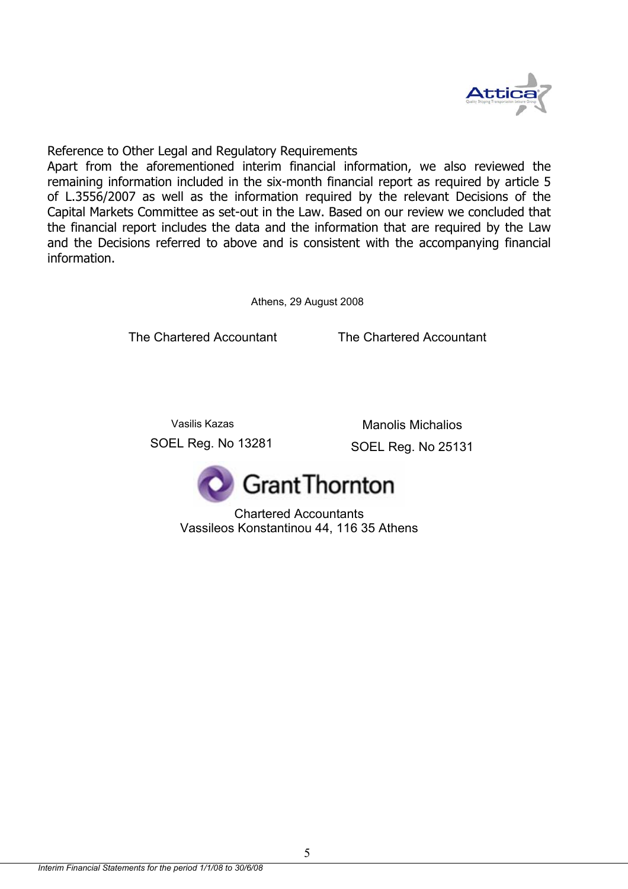

Reference to Other Legal and Regulatory Requirements

Apart from the aforementioned interim financial information, we also reviewed the remaining information included in the six-month financial report as required by article 5 of L.3556/2007 as well as the information required by the relevant Decisions of the Capital Markets Committee as set-out in the Law. Based on our review we concluded that the financial report includes the data and the information that are required by the Law and the Decisions referred to above and is consistent with the accompanying financial information.

Athens, 29 August 2008

The Chartered Accountant

The Chartered Accountant

Vasilis Kazas SOEL Reg. No 13281 Manolis Michalios

SOEL Reg. No 25131



Chartered Accountants Vassileos Konstantinou 44, 116 35 Athens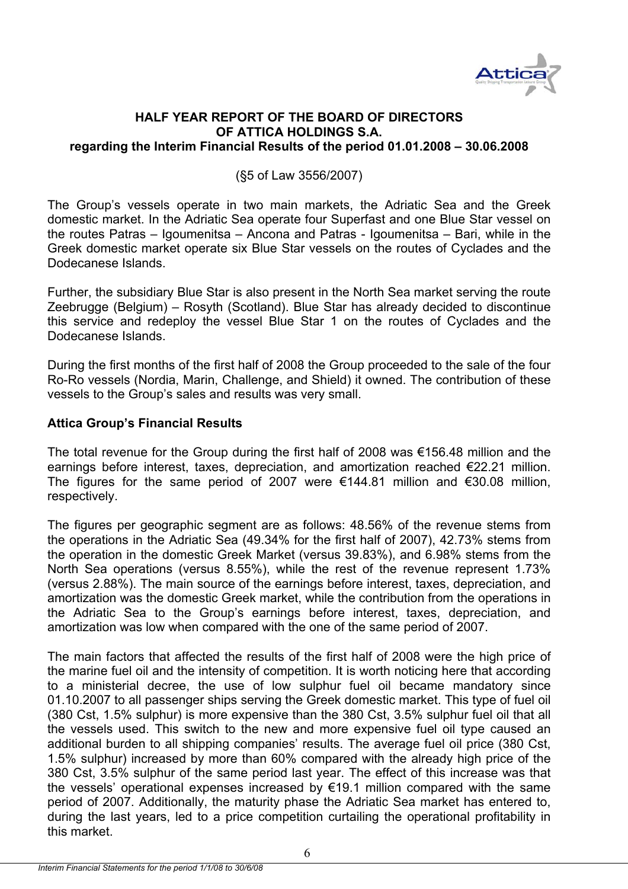

## **HALF YEAR REPORT OF THE BOARD OF DIRECTORS OF ATTICA HOLDINGS S.A. regarding the Interim Financial Results of the period 01.01.2008 – 30.06.2008**

(§5 of Law 3556/2007)

The Group's vessels operate in two main markets, the Adriatic Sea and the Greek domestic market. In the Adriatic Sea operate four Superfast and one Blue Star vessel on the routes Patras – Igoumenitsa – Ancona and Patras - Igoumenitsa – Bari, while in the Greek domestic market operate six Blue Star vessels on the routes of Cyclades and the Dodecanese Islands.

Further, the subsidiary Blue Star is also present in the North Sea market serving the route Zeebrugge (Belgium) – Rosyth (Scotland). Blue Star has already decided to discontinue this service and redeploy the vessel Blue Star 1 on the routes of Cyclades and the Dodecanese Islands.

During the first months of the first half of 2008 the Group proceeded to the sale of the four Ro-Ro vessels (Nordia, Marin, Challenge, and Shield) it owned. The contribution of these vessels to the Group's sales and results was very small.

## **Attica Group's Financial Results**

The total revenue for the Group during the first half of 2008 was €156.48 million and the earnings before interest, taxes, depreciation, and amortization reached €22.21 million. The figures for the same period of 2007 were  $\epsilon$ 144.81 million and  $\epsilon$ 30.08 million, respectively.

The figures per geographic segment are as follows: 48.56% of the revenue stems from the operations in the Adriatic Sea (49.34% for the first half of 2007), 42.73% stems from the operation in the domestic Greek Market (versus 39.83%), and 6.98% stems from the North Sea operations (versus 8.55%), while the rest of the revenue represent 1.73% (versus 2.88%). The main source of the earnings before interest, taxes, depreciation, and amortization was the domestic Greek market, while the contribution from the operations in the Adriatic Sea to the Group's earnings before interest, taxes, depreciation, and amortization was low when compared with the one of the same period of 2007.

The main factors that affected the results of the first half of 2008 were the high price of the marine fuel oil and the intensity of competition. It is worth noticing here that according to a ministerial decree, the use of low sulphur fuel oil became mandatory since 01.10.2007 to all passenger ships serving the Greek domestic market. This type of fuel oil (380 Cst, 1.5% sulphur) is more expensive than the 380 Cst, 3.5% sulphur fuel oil that all the vessels used. This switch to the new and more expensive fuel oil type caused an additional burden to all shipping companies' results. The average fuel oil price (380 Cst, 1.5% sulphur) increased by more than 60% compared with the already high price of the 380 Cst, 3.5% sulphur of the same period last year. The effect of this increase was that the vessels' operational expenses increased by €19.1 million compared with the same period of 2007. Additionally, the maturity phase the Adriatic Sea market has entered to, during the last years, led to a price competition curtailing the operational profitability in this market.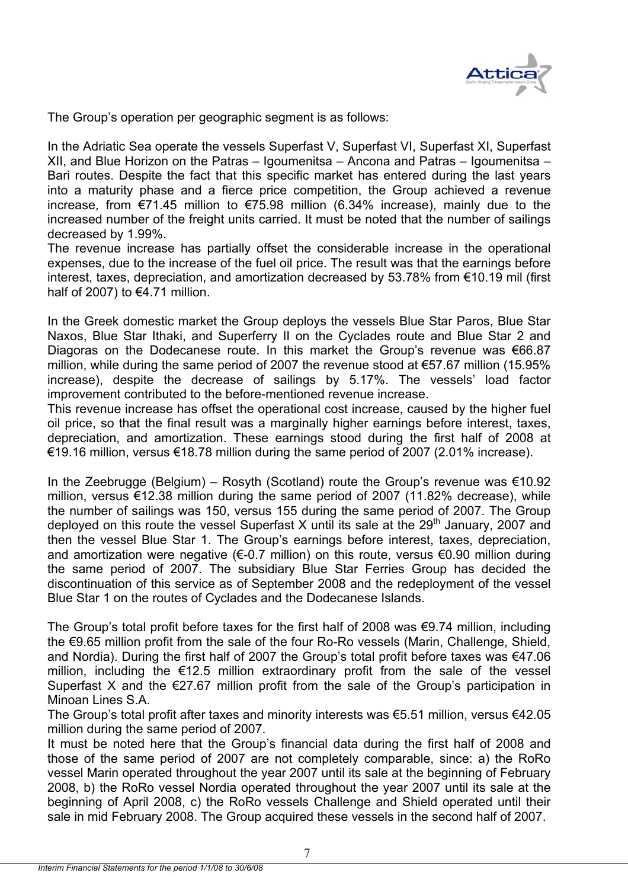

The Group's operation per geographic segment is as follows:

In the Adriatic Sea operate the vessels Superfast V, Superfast VI, Superfast XI, Superfast XII, and Blue Horizon on the Patras – Igoumenitsa – Ancona and Patras – Igoumenitsa – Bari routes. Despite the fact that this specific market has entered during the last years into a maturity phase and a fierce price competition, the Group achieved a revenue increase, from €71.45 million to €75.98 million (6.34% increase), mainly due to the increased number of the freight units carried. It must be noted that the number of sailings decreased by 1.99%.

The revenue increase has partially offset the considerable increase in the operational expenses, due to the increase of the fuel oil price. The result was that the earnings before interest, taxes, depreciation, and amortization decreased by 53.78% from €10.19 mil (first half of 2007) to  $€4.71$  million.

In the Greek domestic market the Group deploys the vessels Blue Star Paros, Blue Star Naxos, Blue Star Ithaki, and Superferry II on the Cyclades route and Blue Star 2 and Diagoras on the Dodecanese route. In this market the Group's revenue was €66.87 million, while during the same period of 2007 the revenue stood at €57.67 million (15.95% increase), despite the decrease of sailings by 5.17%. The vessels' load factor improvement contributed to the before-mentioned revenue increase.

This revenue increase has offset the operational cost increase, caused by the higher fuel oil price, so that the final result was a marginally higher earnings before interest, taxes, depreciation, and amortization. These earnings stood during the first half of 2008 at €19.16 million, versus €18.78 million during the same period of 2007 (2.01% increase).

In the Zeebrugge (Belgium) – Rosyth (Scotland) route the Group's revenue was €10.92 million, versus €12.38 million during the same period of 2007 (11.82% decrease), while the number of sailings was 150, versus 155 during the same period of 2007. The Group deployed on this route the vessel Superfast X until its sale at the  $29<sup>th</sup>$  January, 2007 and then the vessel Blue Star 1. The Group's earnings before interest, taxes, depreciation, and amortization were negative ( $\epsilon$ -0.7 million) on this route, versus  $\epsilon$ 0.90 million during the same period of 2007. The subsidiary Blue Star Ferries Group has decided the discontinuation of this service as of September 2008 and the redeployment of the vessel Blue Star 1 on the routes of Cyclades and the Dodecanese Islands.

The Group's total profit before taxes for the first half of 2008 was €9.74 million, including the €9.65 million profit from the sale of the four Ro-Ro vessels (Marin, Challenge, Shield, and Nordia). During the first half of 2007 the Group's total profit before taxes was €47.06 million, including the €12.5 million extraordinary profit from the sale of the vessel Superfast X and the  $E$ 27.67 million profit from the sale of the Group's participation in Minoan Lines S.A.

The Group's total profit after taxes and minority interests was €5.51 million, versus €42.05 million during the same period of 2007.

It must be noted here that the Group's financial data during the first half of 2008 and those of the same period of 2007 are not completely comparable, since: a) the RoRo vessel Marin operated throughout the year 2007 until its sale at the beginning of February 2008, b) the RoRo vessel Nordia operated throughout the year 2007 until its sale at the beginning of April 2008, c) the RoRo vessels Challenge and Shield operated until their sale in mid February 2008. The Group acquired these vessels in the second half of 2007.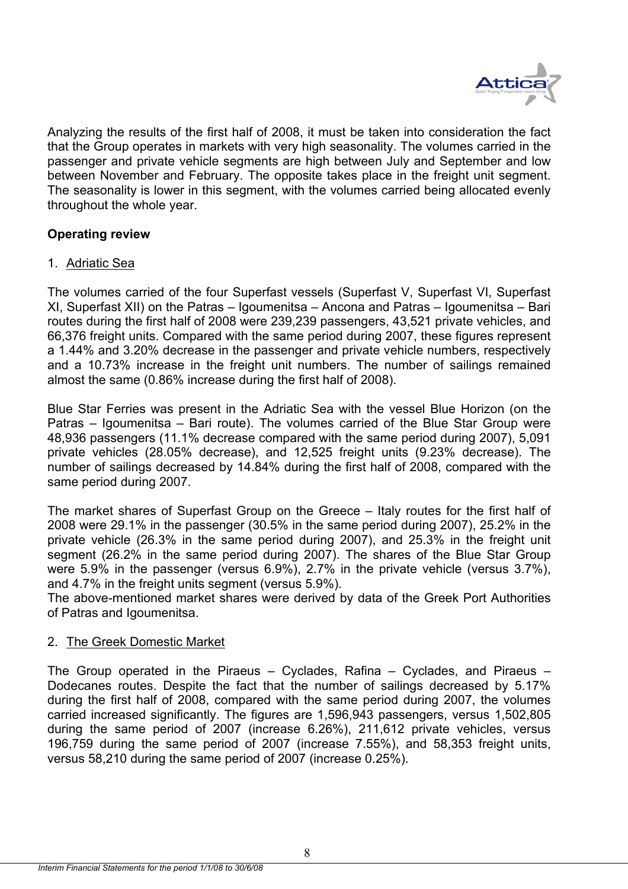

Analyzing the results of the first half of 2008, it must be taken into consideration the fact that the Group operates in markets with very high seasonality. The volumes carried in the passenger and private vehicle segments are high between July and September and low between November and February. The opposite takes place in the freight unit segment. The seasonality is lower in this segment, with the volumes carried being allocated evenly throughout the whole year.

## **Operating review**

## 1. Adriatic Sea

The volumes carried of the four Superfast vessels (Superfast V, Superfast VI, Superfast XI, Superfast XII) on the Patras – Igoumenitsa – Ancona and Patras – Igoumenitsa – Bari routes during the first half of 2008 were 239,239 passengers, 43,521 private vehicles, and 66,376 freight units. Compared with the same period during 2007, these figures represent a 1.44% and 3.20% decrease in the passenger and private vehicle numbers, respectively and a 10.73% increase in the freight unit numbers. The number of sailings remained almost the same (0.86% increase during the first half of 2008).

Blue Star Ferries was present in the Adriatic Sea with the vessel Blue Horizon (on the Patras – Igoumenitsa – Bari route). The volumes carried of the Blue Star Group were 48,936 passengers (11.1% decrease compared with the same period during 2007), 5,091 private vehicles (28.05% decrease), and 12,525 freight units (9.23% decrease). The number of sailings decreased by 14.84% during the first half of 2008, compared with the same period during 2007.

The market shares of Superfast Group on the Greece – Italy routes for the first half of 2008 were 29.1% in the passenger (30.5% in the same period during 2007), 25.2% in the private vehicle (26.3% in the same period during 2007), and 25.3% in the freight unit segment (26.2% in the same period during 2007). The shares of the Blue Star Group were 5.9% in the passenger (versus 6.9%), 2.7% in the private vehicle (versus 3.7%), and 4.7% in the freight units segment (versus 5.9%).

The above-mentioned market shares were derived by data of the Greek Port Authorities of Patras and Igoumenitsa.

## 2. The Greek Domestic Market

The Group operated in the Piraeus – Cyclades, Rafina – Cyclades, and Piraeus – Dodecanes routes. Despite the fact that the number of sailings decreased by 5.17% during the first half of 2008, compared with the same period during 2007, the volumes carried increased significantly. The figures are 1,596,943 passengers, versus 1,502,805 during the same period of 2007 (increase 6.26%), 211,612 private vehicles, versus 196,759 during the same period of 2007 (increase 7.55%), and 58,353 freight units, versus 58,210 during the same period of 2007 (increase 0.25%).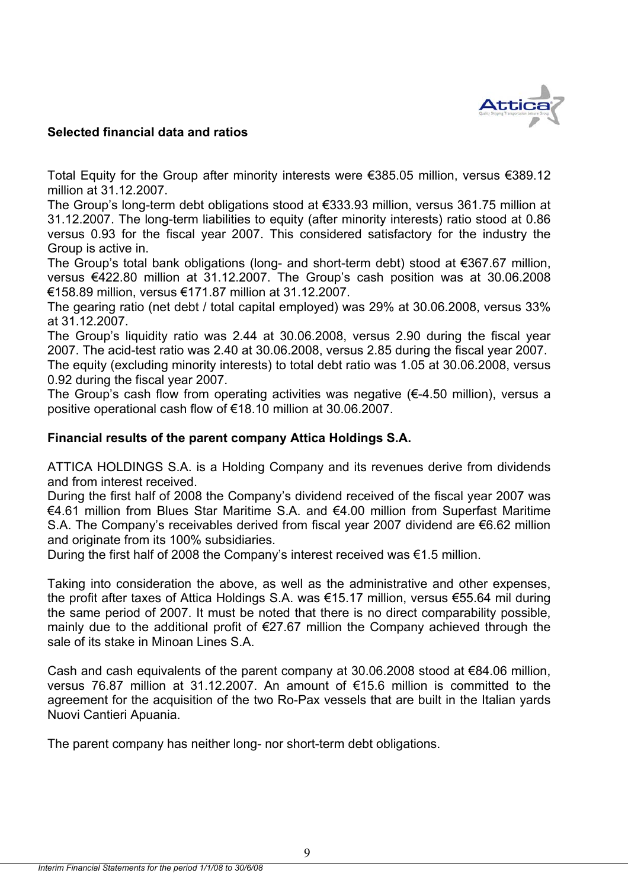

## **Selected financial data and ratios**

Total Equity for the Group after minority interests were €385.05 million, versus €389.12 million at 31.12.2007.

The Group's long-term debt obligations stood at €333.93 million, versus 361.75 million at 31.12.2007. The long-term liabilities to equity (after minority interests) ratio stood at 0.86 versus 0.93 for the fiscal year 2007. This considered satisfactory for the industry the Group is active in.

The Group's total bank obligations (long- and short-term debt) stood at €367.67 million, versus €422.80 million at 31.12.2007. The Group's cash position was at 30.06.2008 €158.89 million, versus €171.87 million at 31.12.2007.

The gearing ratio (net debt / total capital employed) was 29% at 30.06.2008, versus 33% at 31.12.2007.

The Group's liquidity ratio was 2.44 at 30.06.2008, versus 2.90 during the fiscal year 2007. The acid-test ratio was 2.40 at 30.06.2008, versus 2.85 during the fiscal year 2007. The equity (excluding minority interests) to total debt ratio was 1.05 at 30.06.2008, versus 0.92 during the fiscal year 2007.

The Group's cash flow from operating activities was negative  $(E-4.50 \text{ million})$ , versus a positive operational cash flow of €18.10 million at 30.06.2007.

## **Financial results of the parent company Attica Holdings S.A.**

ATTICA HOLDINGS S.A. is a Holding Company and its revenues derive from dividends and from interest received.

During the first half of 2008 the Company's dividend received of the fiscal year 2007 was €4.61 million from Blues Star Maritime S.A. and €4.00 million from Superfast Maritime S.A. The Company's receivables derived from fiscal year 2007 dividend are €6.62 million and originate from its 100% subsidiaries.

During the first half of 2008 the Company's interest received was €1.5 million.

Taking into consideration the above, as well as the administrative and other expenses, the profit after taxes of Attica Holdings S.A. was €15.17 million, versus €55.64 mil during the same period of 2007. It must be noted that there is no direct comparability possible, mainly due to the additional profit of €27.67 million the Company achieved through the sale of its stake in Minoan Lines S.A.

Cash and cash equivalents of the parent company at 30.06.2008 stood at  $€84.06$  million, versus 76.87 million at 31.12.2007. An amount of €15.6 million is committed to the agreement for the acquisition of the two Ro-Pax vessels that are built in the Italian yards Nuovi Cantieri Apuania.

The parent company has neither long- nor short-term debt obligations.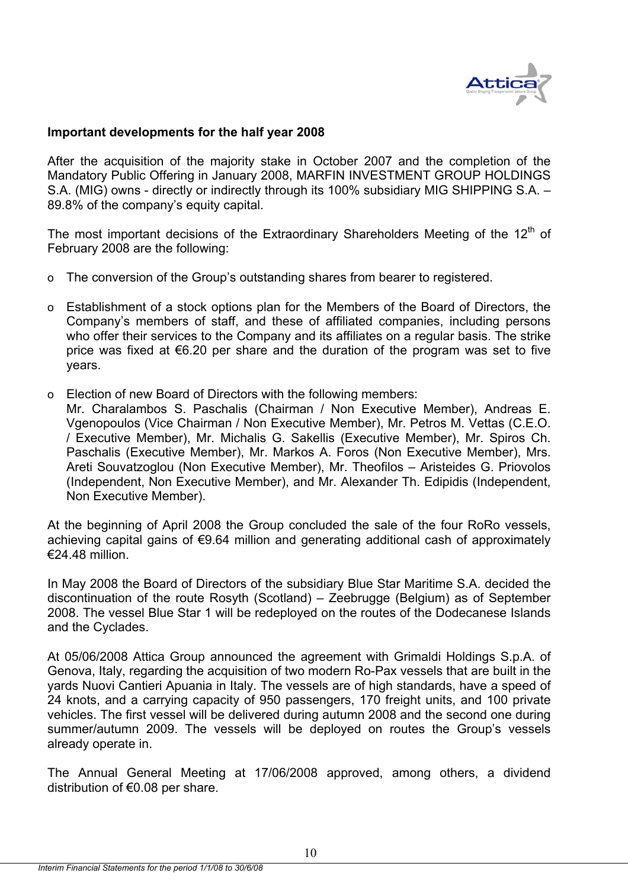

## **Important developments for the half year 2008**

After the acquisition of the majority stake in October 2007 and the completion of the Mandatory Public Offering in January 2008, MARFIN INVESTMENT GROUP HOLDINGS S.A. (MIG) owns - directly or indirectly through its 100% subsidiary MIG SHIPPING S.A. – 89.8% of the company's equity capital.

The most important decisions of the Extraordinary Shareholders Meeting of the 12<sup>th</sup> of February 2008 are the following:

- o The conversion of the Group's outstanding shares from bearer to registered.
- o Establishment of a stock options plan for the Members of the Board of Directors, the Company's members of staff, and these of affiliated companies, including persons who offer their services to the Company and its affiliates on a regular basis. The strike price was fixed at €6.20 per share and the duration of the program was set to five years.
- o Election of new Board of Directors with the following members:

Mr. Charalambos S. Paschalis (Chairman / Non Executive Member), Andreas E. Vgenopoulos (Vice Chairman / Non Executive Member), Mr. Petros M. Vettas (C.E.O. / Executive Member), Mr. Michalis G. Sakellis (Executive Member), Mr. Spiros Ch. Paschalis (Executive Member), Mr. Markos A. Foros (Non Executive Member), Mrs. Areti Souvatzoglou (Non Executive Member), Mr. Theofilos – Aristeides G. Priovolos (Independent, Non Executive Member), and Mr. Alexander Th. Edipidis (Independent, Non Executive Member).

At the beginning of April 2008 the Group concluded the sale of the four RoRo vessels, achieving capital gains of €9.64 million and generating additional cash of approximately €24.48 million.

In May 2008 the Board of Directors of the subsidiary Blue Star Maritime S.A. decided the discontinuation of the route Rosyth (Scotland) – Zeebrugge (Belgium) as of September 2008. The vessel Blue Star 1 will be redeployed on the routes of the Dodecanese Islands and the Cyclades.

At 05/06/2008 Attica Group announced the agreement with Grimaldi Holdings S.p.A. of Genova, Italy, regarding the acquisition of two modern Ro-Pax vessels that are built in the yards Nuovi Cantieri Apuania in Italy. The vessels are of high standards, have a speed of 24 knots, and a carrying capacity of 950 passengers, 170 freight units, and 100 private vehicles. The first vessel will be delivered during autumn 2008 and the second one during summer/autumn 2009. The vessels will be deployed on routes the Group's vessels already operate in.

The Annual General Meeting at 17/06/2008 approved, among others, a dividend distribution of €0.08 per share.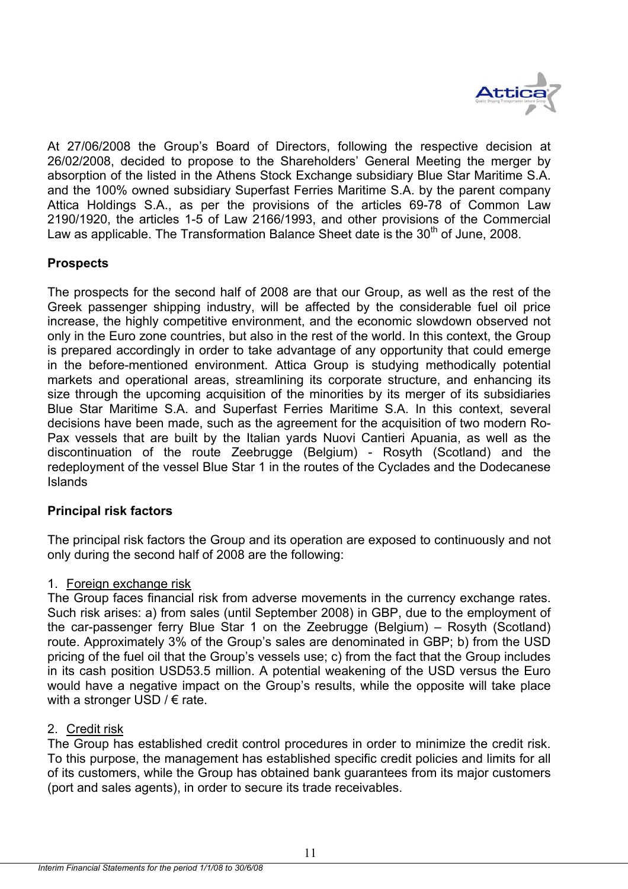

At 27/06/2008 the Group's Board of Directors, following the respective decision at 26/02/2008, decided to propose to the Shareholders' General Meeting the merger by absorption of the listed in the Athens Stock Exchange subsidiary Blue Star Maritime S.A. and the 100% owned subsidiary Superfast Ferries Maritime S.A. by the parent company Attica Holdings S.A., as per the provisions of the articles 69-78 of Common Law 2190/1920, the articles 1-5 of Law 2166/1993, and other provisions of the Commercial Law as applicable. The Transformation Balance Sheet date is the  $30<sup>th</sup>$  of June. 2008.

## **Prospects**

The prospects for the second half of 2008 are that our Group, as well as the rest of the Greek passenger shipping industry, will be affected by the considerable fuel oil price increase, the highly competitive environment, and the economic slowdown observed not only in the Euro zone countries, but also in the rest of the world. In this context, the Group is prepared accordingly in order to take advantage of any opportunity that could emerge in the before-mentioned environment. Attica Group is studying methodically potential markets and operational areas, streamlining its corporate structure, and enhancing its size through the upcoming acquisition of the minorities by its merger of its subsidiaries Blue Star Maritime S.A. and Superfast Ferries Maritime S.A. In this context, several decisions have been made, such as the agreement for the acquisition of two modern Ro-Pax vessels that are built by the Italian yards Nuovi Cantieri Apuania, as well as the discontinuation of the route Zeebrugge (Belgium) - Rosyth (Scotland) and the redeployment of the vessel Blue Star 1 in the routes of the Cyclades and the Dodecanese Islands

## **Principal risk factors**

The principal risk factors the Group and its operation are exposed to continuously and not only during the second half of 2008 are the following:

## 1. Foreign exchange risk

The Group faces financial risk from adverse movements in the currency exchange rates. Such risk arises: a) from sales (until September 2008) in GBP, due to the employment of the car-passenger ferry Blue Star 1 on the Zeebrugge (Belgium) – Rosyth (Scotland) route. Approximately 3% of the Group's sales are denominated in GBP; b) from the USD pricing of the fuel oil that the Group's vessels use; c) from the fact that the Group includes in its cash position USD53.5 million. A potential weakening of the USD versus the Euro would have a negative impact on the Group's results, while the opposite will take place with a stronger USD  $\ell \in$  rate.

## 2. Credit risk

The Group has established credit control procedures in order to minimize the credit risk. To this purpose, the management has established specific credit policies and limits for all of its customers, while the Group has obtained bank guarantees from its major customers (port and sales agents), in order to secure its trade receivables.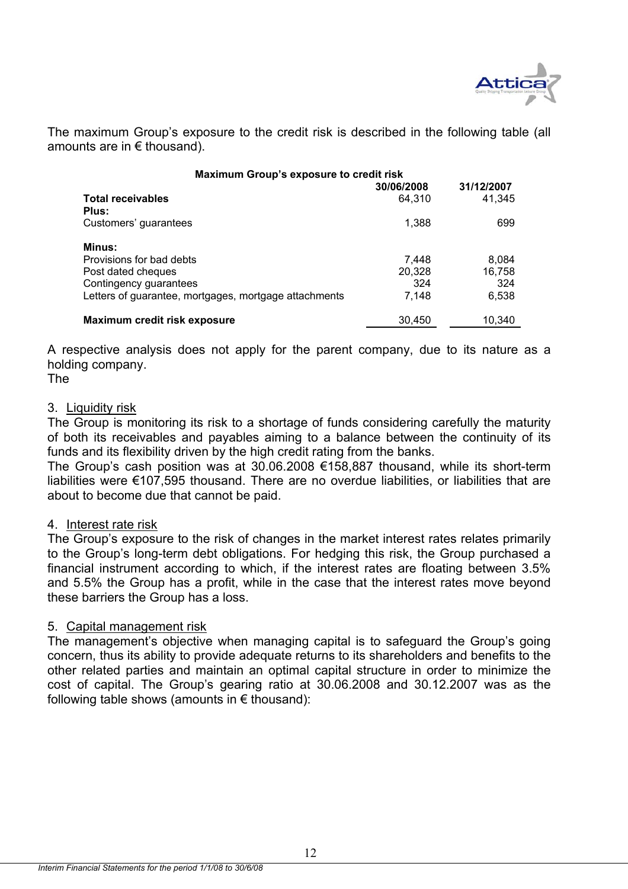

The maximum Group's exposure to the credit risk is described in the following table (all amounts are in € thousand).

| Maximum Group's exposure to credit risk               |                      |                      |
|-------------------------------------------------------|----------------------|----------------------|
| <b>Total receivables</b><br>Plus:                     | 30/06/2008<br>64.310 | 31/12/2007<br>41.345 |
| Customers' guarantees                                 | 1,388                | 699                  |
| <b>Minus:</b>                                         |                      |                      |
| Provisions for bad debts                              | 7,448                | 8,084                |
| Post dated cheques                                    | 20,328               | 16,758               |
| Contingency guarantees                                | 324                  | 324                  |
| Letters of guarantee, mortgages, mortgage attachments | 7,148                | 6,538                |
| Maximum credit risk exposure                          | 30,450               | 10,340               |

A respective analysis does not apply for the parent company, due to its nature as a holding company.

The

## 3. Liquidity risk

The Group is monitoring its risk to a shortage of funds considering carefully the maturity of both its receivables and payables aiming to a balance between the continuity of its funds and its flexibility driven by the high credit rating from the banks.

The Group's cash position was at 30.06.2008 €158,887 thousand, while its short-term liabilities were €107,595 thousand. There are no overdue liabilities, or liabilities that are about to become due that cannot be paid.

## 4. Interest rate risk

The Group's exposure to the risk of changes in the market interest rates relates primarily to the Group's long-term debt obligations. For hedging this risk, the Group purchased a financial instrument according to which, if the interest rates are floating between 3.5% and 5.5% the Group has a profit, while in the case that the interest rates move beyond these barriers the Group has a loss.

## 5. Capital management risk

The management's objective when managing capital is to safeguard the Group's going concern, thus its ability to provide adequate returns to its shareholders and benefits to the other related parties and maintain an optimal capital structure in order to minimize the cost of capital. The Group's gearing ratio at 30.06.2008 and 30.12.2007 was as the following table shows (amounts in  $\epsilon$  thousand):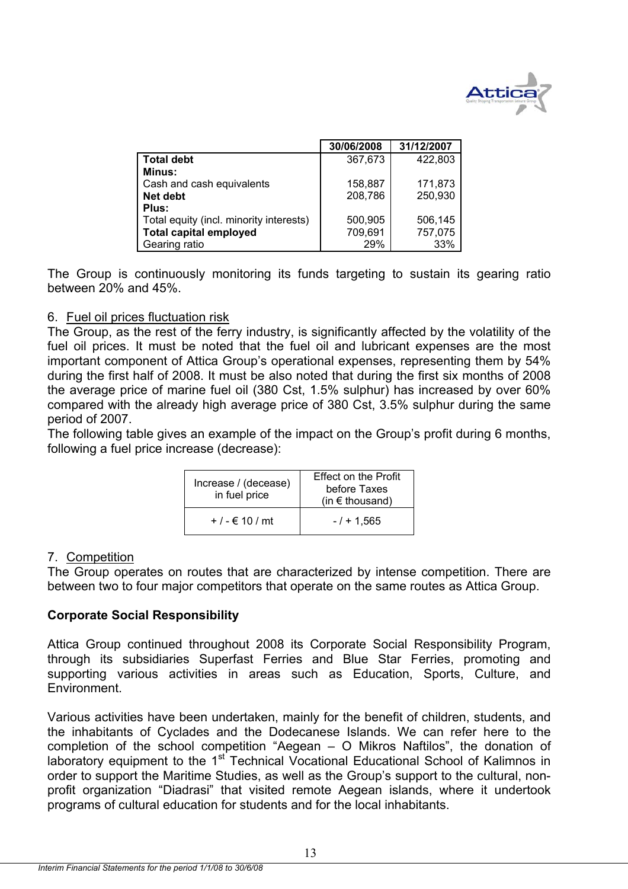

|                                         | 30/06/2008 | 31/12/2007 |
|-----------------------------------------|------------|------------|
| <b>Total debt</b>                       | 367,673    | 422,803    |
| Minus:                                  |            |            |
| Cash and cash equivalents               | 158.887    | 171,873    |
| Net debt                                | 208,786    | 250,930    |
| Plus:                                   |            |            |
| Total equity (incl. minority interests) | 500,905    | 506,145    |
| <b>Total capital employed</b>           | 709,691    | 757,075    |
| Gearing ratio                           | 29%        | 33%        |

The Group is continuously monitoring its funds targeting to sustain its gearing ratio between 20% and 45%.

## 6. Fuel oil prices fluctuation risk

The Group, as the rest of the ferry industry, is significantly affected by the volatility of the fuel oil prices. It must be noted that the fuel oil and lubricant expenses are the most important component of Attica Group's operational expenses, representing them by 54% during the first half of 2008. It must be also noted that during the first six months of 2008 the average price of marine fuel oil (380 Cst, 1.5% sulphur) has increased by over 60% compared with the already high average price of 380 Cst, 3.5% sulphur during the same period of 2007.

The following table gives an example of the impact on the Group's profit during 6 months, following a fuel price increase (decrease):

| Increase / (decease)<br>in fuel price | <b>Effect on the Profit</b><br>before Taxes<br>(in $\epsilon$ thousand) |
|---------------------------------------|-------------------------------------------------------------------------|
| + $/$ - € 10 $/$ mt                   | $-1 + 1.565$                                                            |

## 7. Competition

The Group operates on routes that are characterized by intense competition. There are between two to four major competitors that operate on the same routes as Attica Group.

## **Corporate Social Responsibility**

Attica Group continued throughout 2008 its Corporate Social Responsibility Program, through its subsidiaries Superfast Ferries and Blue Star Ferries, promoting and supporting various activities in areas such as Education, Sports, Culture, and Environment.

Various activities have been undertaken, mainly for the benefit of children, students, and the inhabitants of Cyclades and the Dodecanese Islands. We can refer here to the completion of the school competition "Aegean – O Mikros Naftilos", the donation of laboratory equipment to the  $1<sup>st</sup>$  Technical Vocational Educational School of Kalimnos in order to support the Maritime Studies, as well as the Group's support to the cultural, nonprofit organization "Diadrasi" that visited remote Aegean islands, where it undertook programs of cultural education for students and for the local inhabitants.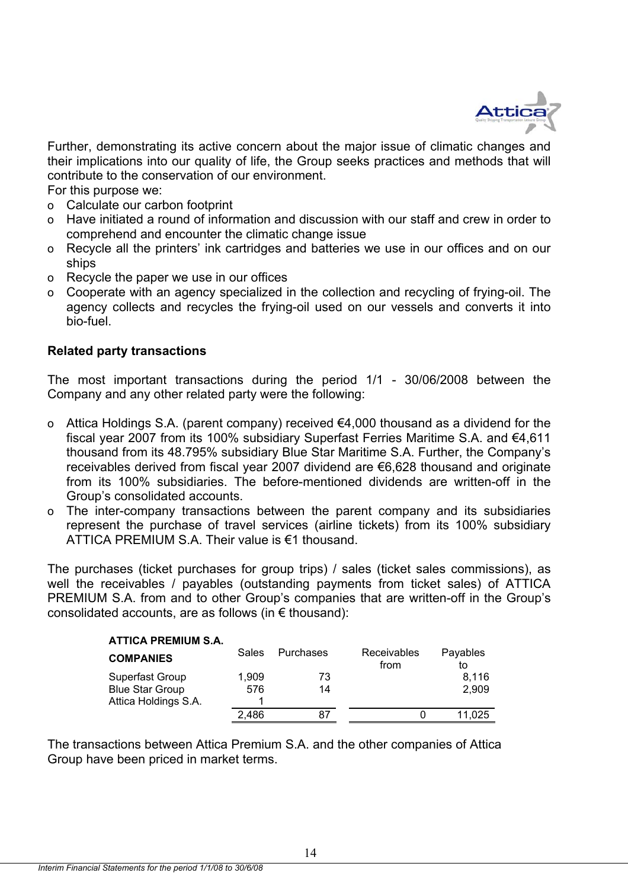

Further, demonstrating its active concern about the major issue of climatic changes and their implications into our quality of life, the Group seeks practices and methods that will contribute to the conservation of our environment.

For this purpose we:

- o Calculate our carbon footprint
- o Have initiated a round of information and discussion with our staff and crew in order to comprehend and encounter the climatic change issue
- o Recycle all the printers' ink cartridges and batteries we use in our offices and on our ships
- o Recycle the paper we use in our offices
- o Cooperate with an agency specialized in the collection and recycling of frying-oil. The agency collects and recycles the frying-oil used on our vessels and converts it into bio-fuel.

## **Related party transactions**

The most important transactions during the period 1/1 - 30/06/2008 between the Company and any other related party were the following:

- o Attica Holdings S.A. (parent company) received €4,000 thousand as a dividend for the fiscal year 2007 from its 100% subsidiary Superfast Ferries Maritime S.A. and €4,611 thousand from its 48.795% subsidiary Blue Star Maritime S.A. Further, the Company's receivables derived from fiscal year 2007 dividend are €6,628 thousand and originate from its 100% subsidiaries. The before-mentioned dividends are written-off in the Group's consolidated accounts.
- o The inter-company transactions between the parent company and its subsidiaries represent the purchase of travel services (airline tickets) from its 100% subsidiary ATTICA PREMIUM S.A. Their value is €1 thousand.

The purchases (ticket purchases for group trips) / sales (ticket sales commissions), as well the receivables / payables (outstanding payments from ticket sales) of ATTICA PREMIUM S.A. from and to other Group's companies that are written-off in the Group's consolidated accounts, are as follows (in  $\epsilon$  thousand):

| <b>ATTICA PREMIUM S.A.</b> |       |           |                            |                |
|----------------------------|-------|-----------|----------------------------|----------------|
| <b>COMPANIES</b>           | Sales | Purchases | <b>Receivables</b><br>from | Payables<br>to |
| Superfast Group            | 1.909 | 73        |                            | 8.116          |
| <b>Blue Star Group</b>     | 576   | 14        |                            | 2,909          |
| Attica Holdings S.A.       |       |           |                            |                |
|                            | 2.486 | 87        |                            | 11.025         |

The transactions between Attica Premium S.A. and the other companies of Attica Group have been priced in market terms.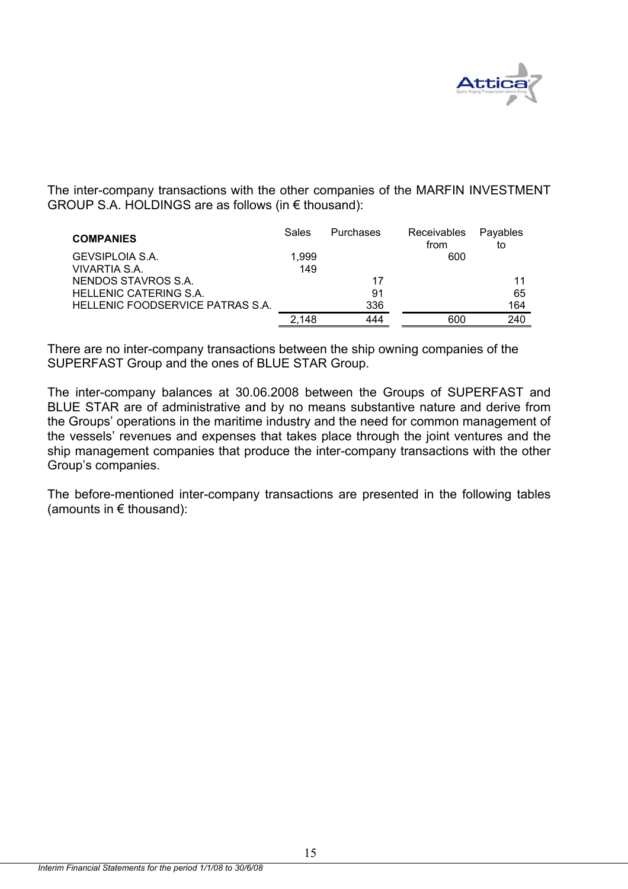

The inter-company transactions with the other companies of the MARFIN INVESTMENT GROUP S.A. HOLDINGS are as follows (in € thousand):

| <b>COMPANIES</b>                 | Sales | Purchases | Receivables<br>from | Payables<br>to |
|----------------------------------|-------|-----------|---------------------|----------------|
| GEVSIPLOIA S.A.                  | 1.999 |           | 600                 |                |
| VIVARTIA S.A.                    | 149   |           |                     |                |
| NENDOS STAVROS S.A.              |       | 17        |                     | 11             |
| <b>HELLENIC CATERING S.A.</b>    |       | 91        |                     | 65             |
| HELLENIC FOODSERVICE PATRAS S.A. |       | 336       |                     | 164            |
|                                  | 2.148 | 444       | 600                 | 240            |

There are no inter-company transactions between the ship owning companies of the SUPERFAST Group and the ones of BLUE STAR Group.

The inter-company balances at 30.06.2008 between the Groups of SUPERFAST and BLUE STAR are of administrative and by no means substantive nature and derive from the Groups' operations in the maritime industry and the need for common management of the vessels' revenues and expenses that takes place through the joint ventures and the ship management companies that produce the inter-company transactions with the other Group's companies.

The before-mentioned inter-company transactions are presented in the following tables (amounts in  $\epsilon$  thousand):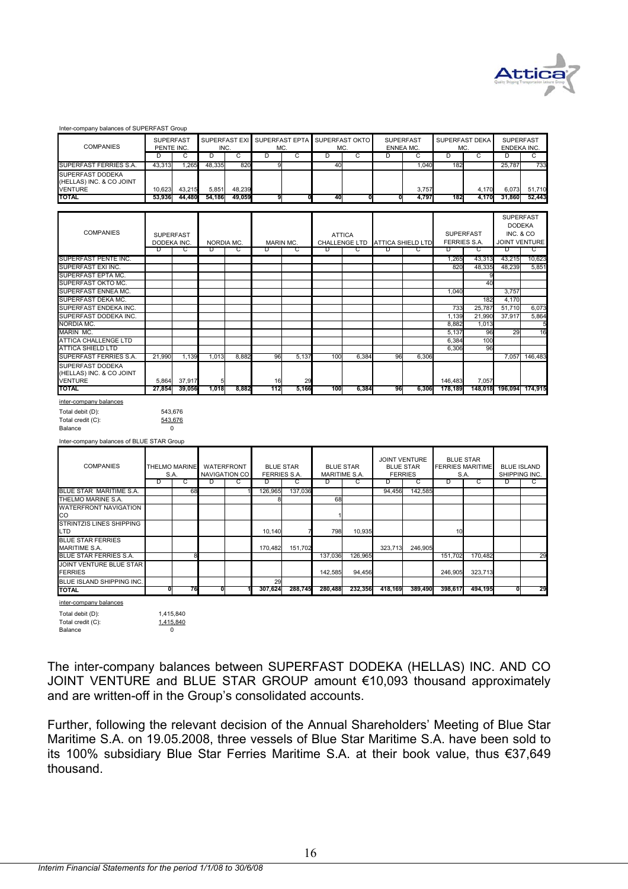

SUPERFAST

|                                              | <b>SUPERFAST</b> |                      |            |                      |                    | SUPERFAST EXI SUPERFAST EPTA SUPERFAST OKTO |                      |                  | <b>SUPERFAST</b>     |                      | SUPERFAST DEKA          |         | <b>SUPERFAST</b>       |                      |
|----------------------------------------------|------------------|----------------------|------------|----------------------|--------------------|---------------------------------------------|----------------------|------------------|----------------------|----------------------|-------------------------|---------|------------------------|----------------------|
| <b>COMPANIES</b>                             | PENTE INC<br>D   | C                    | INC.<br>D  | C                    | MC.<br>D           | C                                           | MC<br>D              | C                | <b>ENNEA MC</b><br>D | C                    | MC.<br>D                | C       | <b>ENDEKA INC</b><br>D | C                    |
|                                              |                  |                      | 48,335     |                      | 9                  |                                             |                      |                  |                      |                      |                         |         |                        |                      |
| SUPERFAST FERRIES S.A.                       | 43,313           | 1,26                 |            | 820                  |                    |                                             | 40                   |                  |                      | 1,040                | 182                     |         | 25,787                 | 733                  |
| SUPERFAST DODEKA<br>(HELLAS) INC. & CO JOINT |                  |                      |            |                      |                    |                                             |                      |                  |                      |                      |                         |         |                        |                      |
|                                              | 10,623           | 43,215               | 5,851      | 48,239               |                    |                                             |                      |                  |                      | 3,757                |                         | 4,170   | 6,073                  | 51,710               |
| <b>VENTURE</b><br>TOTAL                      | 53,936           | 44,480               | 54,186     | 49.059               | 9                  | 0                                           | 40                   |                  | Ω                    | 4,797                | 182                     | 4,170   | 31,860                 | 52.443               |
|                                              |                  |                      |            |                      |                    |                                             |                      |                  |                      |                      |                         |         |                        |                      |
|                                              |                  |                      |            |                      |                    |                                             |                      |                  |                      |                      |                         |         |                        | <b>SUPERFAST</b>     |
|                                              |                  |                      |            |                      |                    |                                             |                      |                  |                      |                      |                         |         |                        | <b>DODEKA</b>        |
| <b>COMPANIES</b>                             | <b>SUPERFAST</b> |                      |            |                      |                    |                                             |                      | <b>ATTICA</b>    |                      |                      | <b>SUPERFAST</b>        |         | <b>INC. &amp; CO</b>   |                      |
|                                              | DODEKA INC       |                      | NORDIA MC  |                      | MARIN MC.          |                                             |                      | CHALLENGE LTD    |                      | ATTICA SHIELD LTD    | <b>FERRIES S.A.</b>     |         |                        | <b>JOINT VENTURE</b> |
|                                              | D                | С                    | D          | С                    | D                  |                                             |                      | G                | D                    |                      | D                       | С       | D                      | С                    |
| SUPERFAST PENTE INC.                         |                  |                      |            |                      |                    |                                             |                      |                  |                      |                      | 1,265                   | 43,313  | 43,215                 | 10,623               |
| SUPERFAST EXI INC.                           |                  |                      |            |                      |                    |                                             |                      |                  |                      |                      | 820                     | 48,33   | 48,239                 | 5,851                |
| SUPERFAST EPTA MC                            |                  |                      |            |                      |                    |                                             |                      |                  |                      |                      |                         |         |                        |                      |
| SUPERFAST OKTO MC.                           |                  |                      |            |                      |                    |                                             |                      |                  |                      |                      |                         | 40      |                        |                      |
| SUPERFAST ENNEA MC.                          |                  |                      |            |                      |                    |                                             |                      |                  |                      |                      | 1,040                   |         | 3,757                  |                      |
| SUPERFAST DEKA MC.                           |                  |                      |            |                      |                    |                                             |                      |                  |                      |                      |                         | 182     | 4,170                  |                      |
| SUPERFAST ENDEKA INC.                        |                  |                      |            |                      |                    |                                             |                      |                  |                      |                      | 733                     | 25,787  | 51,710                 | 6,073                |
| SUPERFAST DODEKA INC.                        |                  |                      |            |                      |                    |                                             |                      |                  |                      |                      | 1,139                   | 21,990  | 37,917                 | 5,864                |
| <b>NORDIA MC.</b>                            |                  |                      |            |                      |                    |                                             |                      |                  |                      |                      | 8.882                   | 1.013   |                        | 5                    |
| <b>MARIN MC.</b>                             |                  |                      |            |                      |                    |                                             |                      |                  |                      |                      | 5,137                   | 96      | 29                     | 16                   |
| ATTICA CHALLENGE LTD                         |                  |                      |            |                      |                    |                                             |                      |                  |                      |                      | 6,384                   | 100     |                        |                      |
| <b>ATTICA SHIELD LTD</b>                     |                  |                      |            |                      |                    |                                             |                      |                  |                      |                      | 6,306                   | 96      |                        |                      |
| SUPERFAST FERRIES S.A.                       | 21,990           | 1,139                | 1,013      | 8,882                | 96                 |                                             | 100                  | 6,384            | 96                   | 6,306                |                         |         |                        |                      |
| SUPERFAST DODEKA                             |                  |                      |            |                      |                    | 5,137                                       |                      |                  |                      |                      |                         |         | 7,057                  | 146,483              |
|                                              |                  |                      |            |                      |                    |                                             |                      |                  |                      |                      |                         |         |                        |                      |
| (HELLAS) INC. & CO JOINT                     |                  | 37,917               |            |                      | 16                 | 29                                          |                      |                  |                      |                      | 146,483                 | 7,057   |                        |                      |
| <b>VENTURE</b><br><b>TOTAL</b>               | 5,864<br>27,854  | 39,056               | 1,018      | 8,882                | 112                | 5,166                                       | 100                  | 6,384            | 96                   | 6,306                | 178,189                 | 148,018 | 196,094                | 174,915              |
|                                              |                  |                      |            |                      |                    |                                             |                      |                  |                      |                      |                         |         |                        |                      |
| inter-company balances                       |                  |                      |            |                      |                    |                                             |                      |                  |                      |                      |                         |         |                        |                      |
| Total debit (D):                             |                  |                      |            |                      |                    |                                             |                      |                  |                      |                      |                         |         |                        |                      |
|                                              | 543,676          |                      |            |                      |                    |                                             |                      |                  |                      |                      |                         |         |                        |                      |
| Total credit (C):                            | 543,676          |                      |            |                      |                    |                                             |                      |                  |                      |                      |                         |         |                        |                      |
| Balance                                      | 0                |                      |            |                      |                    |                                             |                      |                  |                      |                      |                         |         |                        |                      |
|                                              |                  |                      |            |                      |                    |                                             |                      |                  |                      |                      |                         |         |                        |                      |
| Inter-company balances of BLUE STAR Group    |                  |                      |            |                      |                    |                                             |                      |                  |                      |                      |                         |         |                        |                      |
|                                              |                  |                      |            |                      |                    |                                             |                      |                  |                      |                      |                         |         |                        |                      |
|                                              |                  |                      |            |                      |                    |                                             |                      |                  |                      | <b>JOINT VENTURE</b> | <b>BLUE STAR</b>        |         |                        |                      |
| <b>COMPANIES</b>                             |                  | <b>THELMO MARINE</b> | WATERFRONT |                      | <b>BLUE STAR</b>   |                                             |                      | <b>BLUE STAR</b> |                      | <b>BLUE STAR</b>     | <b>FERRIES MARITIME</b> |         | <b>BLUE ISLAND</b>     |                      |
|                                              | S.A              |                      |            | <b>NAVIGATION CO</b> | <b>FERRIES S.A</b> |                                             | <b>MARITIME S.A.</b> |                  | <b>FERRIES</b>       |                      | S.A                     |         | SHIPPING INC           |                      |
|                                              | D                | С                    | D          | С                    | D                  | С                                           | D                    | С                | D                    | С                    | D                       | С       | D                      | С                    |
| BLUE STAR MARITIME S.A.                      |                  | 68                   |            |                      | 126,965            | 137,036                                     |                      |                  | 94,456               | 142,585              |                         |         |                        |                      |
| THELMO MARINE S.A.                           |                  |                      |            |                      |                    |                                             | 68                   |                  |                      |                      |                         |         |                        |                      |
| <b>WATERFRONT NAVIGATION</b>                 |                  |                      |            |                      |                    |                                             |                      |                  |                      |                      |                         |         |                        |                      |
| CO                                           |                  |                      |            |                      |                    |                                             |                      |                  |                      |                      |                         |         |                        |                      |
| <b>STRINTZIS LINES SHIPPING</b>              |                  |                      |            |                      |                    |                                             |                      |                  |                      |                      |                         |         |                        |                      |
| LTD                                          |                  |                      |            |                      | 10,140             | 7                                           | 798                  | 10,935           |                      |                      | 10                      |         |                        |                      |
| <b>BLUE STAR FERRIES</b>                     |                  |                      |            |                      |                    |                                             |                      |                  |                      |                      |                         |         |                        |                      |
| <b>MARITIME S.A.</b>                         |                  |                      |            |                      | 170,482            | 151,702                                     |                      |                  | 323,713              | 246,905              |                         |         |                        |                      |
| <b>BLUE STAR FERRIES S.A.</b>                |                  | 8                    |            |                      |                    |                                             | 137,036              | 126,965          |                      |                      | 151,702                 | 170,482 |                        | 29                   |
| JOINT VENTURE BLUE STAR                      |                  |                      |            |                      |                    |                                             |                      |                  |                      |                      |                         |         |                        |                      |
| <b>FERRIES</b>                               |                  |                      |            |                      | 29                 |                                             | 142,585              | 94,456           |                      |                      | 246,905                 | 323,713 |                        |                      |
| BLUE ISLAND SHIPPING INC.                    | 0                | 76                   | 0          |                      | 307,624            | 288,745                                     | 280,488              | 232,356          | 418,169              | 389,490              | 398,617                 | 494,195 | 0                      | 29                   |
| TOTAL                                        |                  |                      |            |                      |                    |                                             |                      |                  |                      |                      |                         |         |                        |                      |
| inter-company balances                       |                  |                      |            |                      |                    |                                             |                      |                  |                      |                      |                         |         |                        |                      |
| Total debit (D):                             | 1,415,840        |                      |            |                      |                    |                                             |                      |                  |                      |                      |                         |         |                        |                      |
| Total credit (C):<br>Balance                 | 1,415,840<br>0   |                      |            |                      |                    |                                             |                      |                  |                      |                      |                         |         |                        |                      |

The inter-company balances between SUPERFAST DODEKA (HELLAS) INC. AND CO JOINT VENTURE and BLUE STAR GROUP amount €10,093 thousand approximately and are written-off in the Group's consolidated accounts.

Further, following the relevant decision of the Annual Shareholders' Meeting of Blue Star Maritime S.A. on 19.05.2008, three vessels of Blue Star Maritime S.A. have been sold to its 100% subsidiary Blue Star Ferries Maritime S.A. at their book value, thus €37,649 thousand.

Inter-company balances of SUPERFAST Group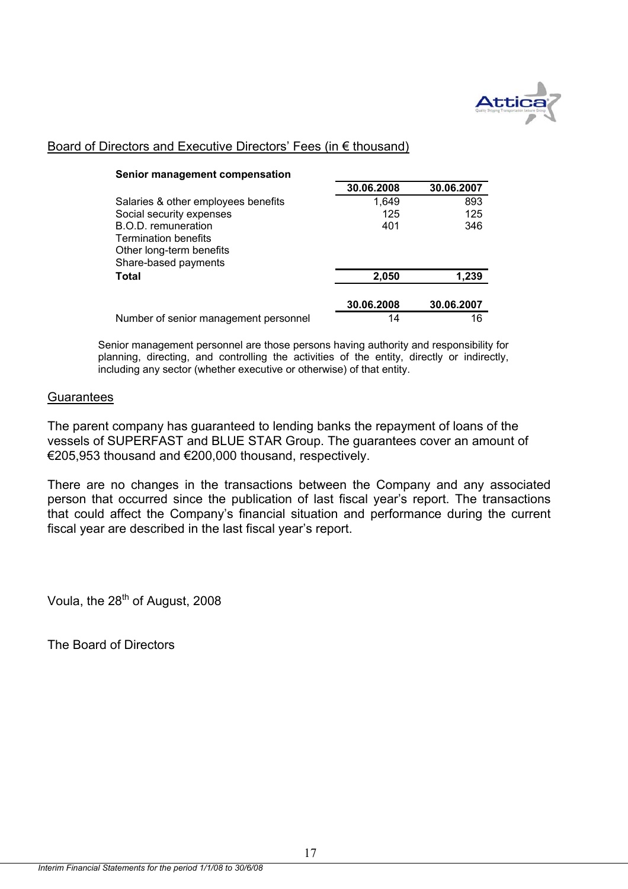

## Board of Directors and Executive Directors' Fees (in € thousand)

**Senior management compensation** 

| <b>Jenior management compensation</b>              |            |            |
|----------------------------------------------------|------------|------------|
|                                                    | 30.06.2008 | 30.06.2007 |
| Salaries & other employees benefits                | 1,649      | 893        |
| Social security expenses                           | 125        | 125        |
| B.O.D. remuneration<br><b>Termination benefits</b> | 401        | 346        |
| Other long-term benefits                           |            |            |
| Share-based payments                               |            |            |
| <b>Total</b>                                       | 2,050      | 1,239      |
|                                                    | 30.06.2008 | 30.06.2007 |
| Number of senior management personnel              | 14         | 16         |

Senior management personnel are those persons having authority and responsibility for planning, directing, and controlling the activities of the entity, directly or indirectly, including any sector (whether executive or otherwise) of that entity.

## **Guarantees**

The parent company has guaranteed to lending banks the repayment of loans of the vessels of SUPERFAST and BLUE STAR Group. The guarantees cover an amount of €205,953 thousand and €200,000 thousand, respectively.

There are no changes in the transactions between the Company and any associated person that occurred since the publication of last fiscal year's report. The transactions that could affect the Company's financial situation and performance during the current fiscal year are described in the last fiscal year's report.

Voula, the 28<sup>th</sup> of August, 2008

The Board of Directors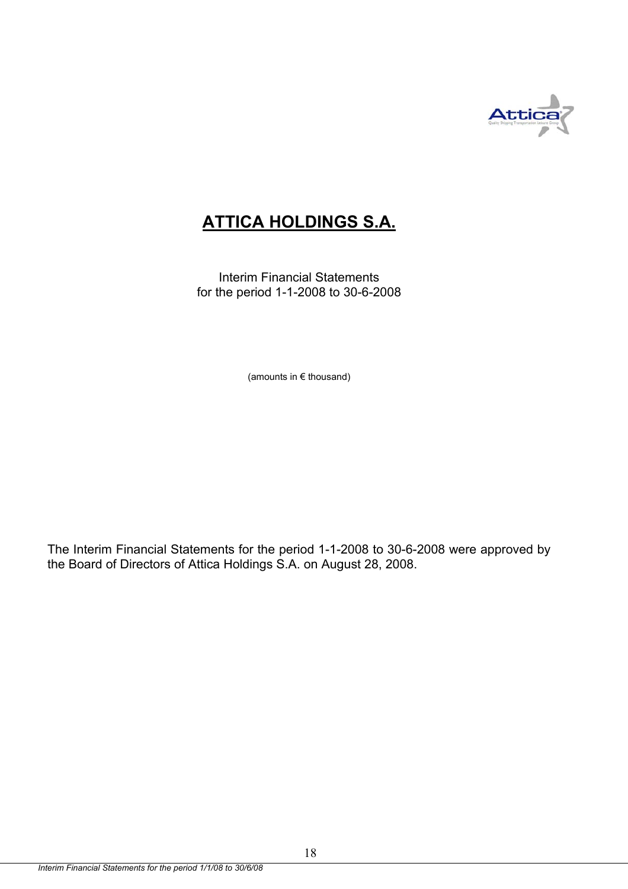

# **ATTICA HOLDINGS S.A.**

Interim Financial Statements for the period 1-1-2008 to 30-6-2008

(amounts in € thousand)

The Interim Financial Statements for the period 1-1-2008 to 30-6-2008 were approved by the Board of Directors of Attica Holdings S.A. on August 28, 2008.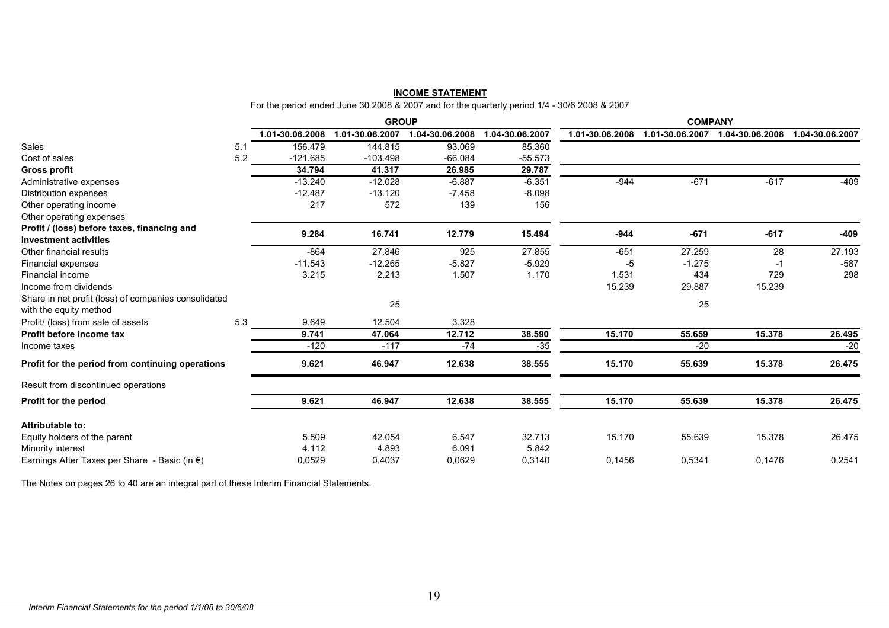| <b>INCOME STATEMENT</b>                                                                      |  |  |  |  |
|----------------------------------------------------------------------------------------------|--|--|--|--|
| For the period ended June 30 2008 & 2007 and for the quarterly period 1/4 - 30/6 2008 & 2007 |  |  |  |  |

|                                                                                |     |                 | <b>GROUP</b>    |                 |                 |                 | <b>COMPANY</b>  |                 |                 |
|--------------------------------------------------------------------------------|-----|-----------------|-----------------|-----------------|-----------------|-----------------|-----------------|-----------------|-----------------|
|                                                                                |     | 1.01-30.06.2008 | 1.01-30.06.2007 | 1.04-30.06.2008 | 1.04-30.06.2007 | 1.01-30.06.2008 | 1.01-30.06.2007 | 1.04-30.06.2008 | 1.04-30.06.2007 |
| Sales                                                                          | 5.1 | 156.479         | 144.815         | 93.069          | 85.360          |                 |                 |                 |                 |
| Cost of sales                                                                  | 5.2 | $-121.685$      | $-103.498$      | $-66.084$       | $-55.573$       |                 |                 |                 |                 |
| <b>Gross profit</b>                                                            |     | 34.794          | 41.317          | 26.985          | 29.787          |                 |                 |                 |                 |
| Administrative expenses                                                        |     | $-13.240$       | $-12.028$       | $-6.887$        | $-6.351$        | $-944$          | $-671$          | $-617$          | $-409$          |
| Distribution expenses                                                          |     | $-12.487$       | $-13.120$       | $-7.458$        | $-8.098$        |                 |                 |                 |                 |
| Other operating income                                                         |     | 217             | 572             | 139             | 156             |                 |                 |                 |                 |
| Other operating expenses                                                       |     |                 |                 |                 |                 |                 |                 |                 |                 |
| Profit / (loss) before taxes, financing and                                    |     | 9.284           | 16.741          | 12.779          | 15.494          | $-944$          | $-671$          | $-617$          | $-409$          |
| investment activities                                                          |     |                 |                 |                 |                 |                 |                 |                 |                 |
| Other financial results                                                        |     | $-864$          | 27.846          | 925             | 27.855          | $-651$          | 27.259          | 28              | 27.193          |
| Financial expenses                                                             |     | $-11.543$       | $-12.265$       | $-5.827$        | $-5.929$        | -5              | $-1.275$        | -1              | $-587$          |
| Financial income                                                               |     | 3.215           | 2.213           | 1.507           | 1.170           | 1.531           | 434             | 729             | 298             |
| Income from dividends                                                          |     |                 |                 |                 |                 | 15.239          | 29.887          | 15.239          |                 |
| Share in net profit (loss) of companies consolidated<br>with the equity method |     |                 | 25              |                 |                 |                 | 25              |                 |                 |
| Profit/ (loss) from sale of assets                                             | 5.3 | 9.649           | 12.504          | 3.328           |                 |                 |                 |                 |                 |
| Profit before income tax                                                       |     | 9.741           | 47.064          | 12.712          | 38.590          | 15.170          | 55.659          | 15.378          | 26.495          |
| Income taxes                                                                   |     | $-120$          | $-117$          | $-74$           | $-35$           |                 | $-20$           |                 | $-20$           |
| Profit for the period from continuing operations                               |     | 9.621           | 46.947          | 12.638          | 38.555          | 15.170          | 55.639          | 15.378          | 26.475          |
| Result from discontinued operations                                            |     |                 |                 |                 |                 |                 |                 |                 |                 |
| Profit for the period                                                          |     | 9.621           | 46.947          | 12.638          | 38.555          | 15.170          | 55.639          | 15.378          | 26.475          |
| <b>Attributable to:</b>                                                        |     |                 |                 |                 |                 |                 |                 |                 |                 |
| Equity holders of the parent                                                   |     | 5.509           | 42.054          | 6.547           | 32.713          | 15.170          | 55.639          | 15.378          | 26.475          |
| Minority interest                                                              |     | 4.112           | 4.893           | 6.091           | 5.842           |                 |                 |                 |                 |
| Earnings After Taxes per Share - Basic (in $\epsilon$ )                        |     | 0,0529          | 0,4037          | 0,0629          | 0,3140          | 0,1456          | 0.5341          | 0.1476          | 0,2541          |

The Notes on pages 26 to 40 are an integral part of these Interim Financial Statements.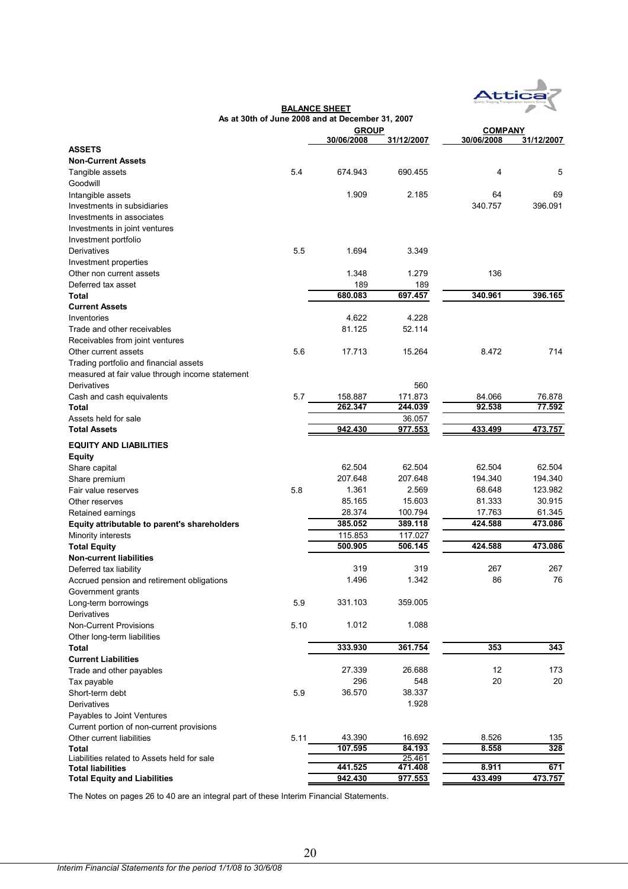

|                                                 |      | As at 30th of June 2008 and at December 31, 2007 |            |                |            |
|-------------------------------------------------|------|--------------------------------------------------|------------|----------------|------------|
|                                                 |      | <b>GROUP</b>                                     |            | <b>COMPANY</b> |            |
|                                                 |      | 30/06/2008                                       | 31/12/2007 | 30/06/2008     | 31/12/2007 |
| <b>ASSETS</b>                                   |      |                                                  |            |                |            |
| <b>Non-Current Assets</b>                       |      |                                                  |            |                |            |
| Tangible assets                                 | 5.4  | 674.943                                          | 690.455    | 4              | 5          |
| Goodwill                                        |      |                                                  |            |                |            |
| Intangible assets                               |      | 1.909                                            | 2.185      | 64             | 69         |
| Investments in subsidiaries                     |      |                                                  |            | 340.757        | 396.091    |
| Investments in associates                       |      |                                                  |            |                |            |
| Investments in joint ventures                   |      |                                                  |            |                |            |
| Investment portfolio                            |      |                                                  |            |                |            |
| Derivatives                                     | 5.5  | 1.694                                            | 3.349      |                |            |
| Investment properties                           |      |                                                  |            |                |            |
| Other non current assets                        |      | 1.348                                            | 1.279      | 136            |            |
| Deferred tax asset                              |      | 189                                              | 189        |                |            |
| Total                                           |      | 680.083                                          | 697.457    | 340.961        | 396.165    |
| <b>Current Assets</b>                           |      |                                                  |            |                |            |
| Inventories                                     |      | 4.622                                            | 4.228      |                |            |
| Trade and other receivables                     |      | 81.125                                           | 52.114     |                |            |
| Receivables from joint ventures                 |      |                                                  |            |                |            |
| Other current assets                            | 5.6  | 17.713                                           | 15.264     | 8.472          | 714        |
| Trading portfolio and financial assets          |      |                                                  |            |                |            |
| measured at fair value through income statement |      |                                                  |            |                |            |
| Derivatives                                     |      |                                                  | 560        |                |            |
| Cash and cash equivalents                       | 5.7  | 158.887                                          | 171.873    | 84.066         | 76.878     |
| Total                                           |      | 262.347                                          | 244.039    | 92.538         | 77.592     |
| Assets held for sale                            |      |                                                  | 36.057     |                |            |
| <b>Total Assets</b>                             |      | 942.430                                          | 977.553    | 433.499        | 473.757    |
| <b>EQUITY AND LIABILITIES</b>                   |      |                                                  |            |                |            |
| <b>Equity</b>                                   |      |                                                  |            |                |            |
| Share capital                                   |      | 62.504                                           | 62.504     | 62.504         | 62.504     |
| Share premium                                   |      | 207.648                                          | 207.648    | 194.340        | 194.340    |
| Fair value reserves                             | 5.8  | 1.361                                            | 2.569      | 68.648         | 123.982    |
| Other reserves                                  |      | 85.165                                           | 15.603     | 81.333         | 30.915     |
| Retained earnings                               |      | 28.374                                           | 100.794    | 17.763         | 61.345     |
| Equity attributable to parent's shareholders    |      | 385.052                                          | 389.118    | 424.588        | 473.086    |
| Minority interests                              |      | 115.853                                          | 117.027    |                |            |
| <b>Total Equity</b>                             |      | 500.905                                          | 506.145    | 424.588        | 473.086    |
| <b>Non-current liabilities</b>                  |      |                                                  |            |                |            |
| Deferred tax liability                          |      | 319                                              | 319        | 267            | 267        |
| Accrued pension and retirement obligations      |      | 1.496                                            | 1.342      | 86             | 76         |
| Government grants                               |      |                                                  |            |                |            |
| Long-term borrowings                            | 5.9  | 331.103                                          | 359.005    |                |            |
| Derivatives                                     |      |                                                  |            |                |            |
| <b>Non-Current Provisions</b>                   | 5.10 | 1.012                                            | 1.088      |                |            |
| Other long-term liabilities                     |      |                                                  |            |                |            |
| Total                                           |      | 333.930                                          | 361.754    | 353            | 343        |
| <b>Current Liabilities</b>                      |      |                                                  |            |                |            |
| Trade and other payables                        |      | 27.339                                           | 26.688     | 12             | 173        |
| Tax payable                                     |      | 296                                              | 548        | 20             | 20         |
| Short-term debt                                 | 5.9  | 36.570                                           | 38.337     |                |            |
| Derivatives                                     |      |                                                  | 1.928      |                |            |
| Payables to Joint Ventures                      |      |                                                  |            |                |            |
| Current portion of non-current provisions       |      |                                                  |            |                |            |
| Other current liabilities                       | 5.11 | 43.390                                           | 16.692     | 8.526          | 135        |
| Total                                           |      | 107.595                                          | 84.193     | 8.558          | 328        |
| Liabilities related to Assets held for sale     |      |                                                  | 25.461     |                |            |
| Total liabilities                               |      | 441.525                                          | 471.408    | 8.911          | 671        |
| <b>Total Equity and Liabilities</b>             |      | 942.430                                          | 977.553    | 433.499        | 473.757    |

**BALANCE SHEET**

The Notes on pages 26 to 40 are an integral part of these Interim Financial Statements.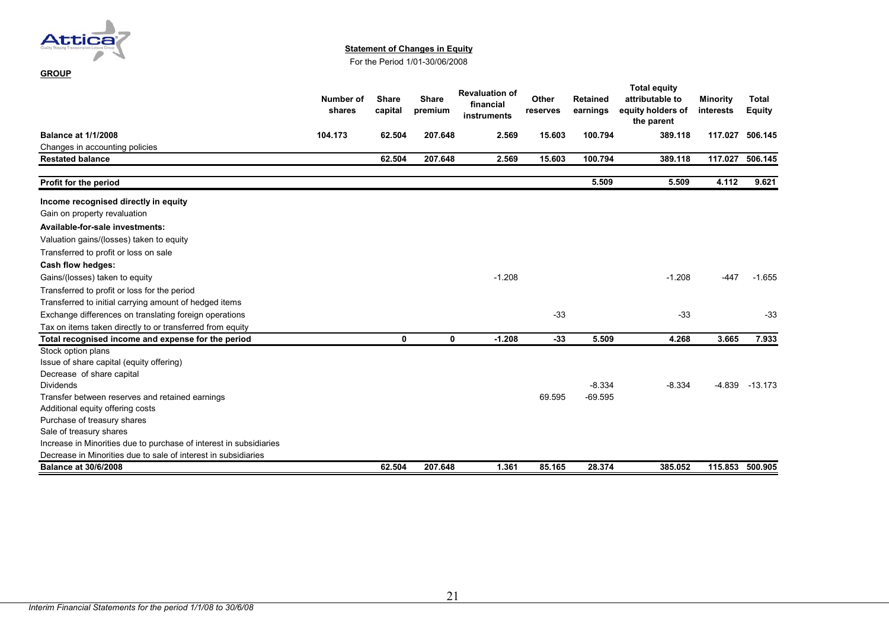

**GROUP**

#### **Statement of Changes in Equity**

For the Period 1/01-30/06/2008

|                                                                    | Number of<br>shares | <b>Share</b><br>capital | <b>Share</b><br>premium | <b>Revaluation of</b><br>financial<br>instruments | Other<br>reserves | <b>Retained</b><br>earnings | <b>Total equity</b><br>attributable to<br>equity holders of<br>the parent | <b>Minority</b><br>interests | <b>Total</b><br><b>Equity</b> |
|--------------------------------------------------------------------|---------------------|-------------------------|-------------------------|---------------------------------------------------|-------------------|-----------------------------|---------------------------------------------------------------------------|------------------------------|-------------------------------|
| <b>Balance at 1/1/2008</b>                                         | 104.173             | 62.504                  | 207.648                 | 2.569                                             | 15.603            | 100.794                     | 389.118                                                                   | 117.027                      | 506.145                       |
| Changes in accounting policies                                     |                     |                         |                         |                                                   |                   |                             |                                                                           |                              |                               |
| <b>Restated balance</b>                                            |                     | 62.504                  | 207.648                 | 2.569                                             | 15.603            | 100.794                     | 389.118                                                                   | 117.027                      | 506.145                       |
| Profit for the period                                              |                     |                         |                         |                                                   |                   | 5.509                       | 5.509                                                                     | 4.112                        | 9.621                         |
| Income recognised directly in equity                               |                     |                         |                         |                                                   |                   |                             |                                                                           |                              |                               |
| Gain on property revaluation                                       |                     |                         |                         |                                                   |                   |                             |                                                                           |                              |                               |
| Available-for-sale investments:                                    |                     |                         |                         |                                                   |                   |                             |                                                                           |                              |                               |
| Valuation gains/(losses) taken to equity                           |                     |                         |                         |                                                   |                   |                             |                                                                           |                              |                               |
| Transferred to profit or loss on sale                              |                     |                         |                         |                                                   |                   |                             |                                                                           |                              |                               |
| Cash flow hedges:                                                  |                     |                         |                         |                                                   |                   |                             |                                                                           |                              |                               |
| Gains/(losses) taken to equity                                     |                     |                         |                         | $-1.208$                                          |                   |                             | $-1.208$                                                                  | $-447$                       | $-1.655$                      |
| Transferred to profit or loss for the period                       |                     |                         |                         |                                                   |                   |                             |                                                                           |                              |                               |
| Transferred to initial carrying amount of hedged items             |                     |                         |                         |                                                   |                   |                             |                                                                           |                              |                               |
| Exchange differences on translating foreign operations             |                     |                         |                         |                                                   | $-33$             |                             | $-33$                                                                     |                              | $-33$                         |
| Tax on items taken directly to or transferred from equity          |                     |                         |                         |                                                   |                   |                             |                                                                           |                              |                               |
| Total recognised income and expense for the period                 |                     | $\mathbf{0}$            | 0                       | $-1.208$                                          | $-33$             | 5.509                       | 4.268                                                                     | 3.665                        | 7.933                         |
| Stock option plans                                                 |                     |                         |                         |                                                   |                   |                             |                                                                           |                              |                               |
| Issue of share capital (equity offering)                           |                     |                         |                         |                                                   |                   |                             |                                                                           |                              |                               |
| Decrease of share capital                                          |                     |                         |                         |                                                   |                   |                             |                                                                           |                              |                               |
| <b>Dividends</b>                                                   |                     |                         |                         |                                                   |                   | $-8.334$                    | $-8.334$                                                                  | $-4.839$                     | $-13.173$                     |
| Transfer between reserves and retained earnings                    |                     |                         |                         |                                                   | 69.595            | $-69.595$                   |                                                                           |                              |                               |
| Additional equity offering costs                                   |                     |                         |                         |                                                   |                   |                             |                                                                           |                              |                               |
| Purchase of treasury shares                                        |                     |                         |                         |                                                   |                   |                             |                                                                           |                              |                               |
| Sale of treasury shares                                            |                     |                         |                         |                                                   |                   |                             |                                                                           |                              |                               |
| Increase in Minorities due to purchase of interest in subsidiaries |                     |                         |                         |                                                   |                   |                             |                                                                           |                              |                               |
| Decrease in Minorities due to sale of interest in subsidiaries     |                     |                         |                         |                                                   |                   |                             |                                                                           |                              |                               |
| <b>Balance at 30/6/2008</b>                                        |                     | 62.504                  | 207.648                 | 1.361                                             | 85.165            | 28.374                      | 385.052                                                                   | 115.853                      | 500.905                       |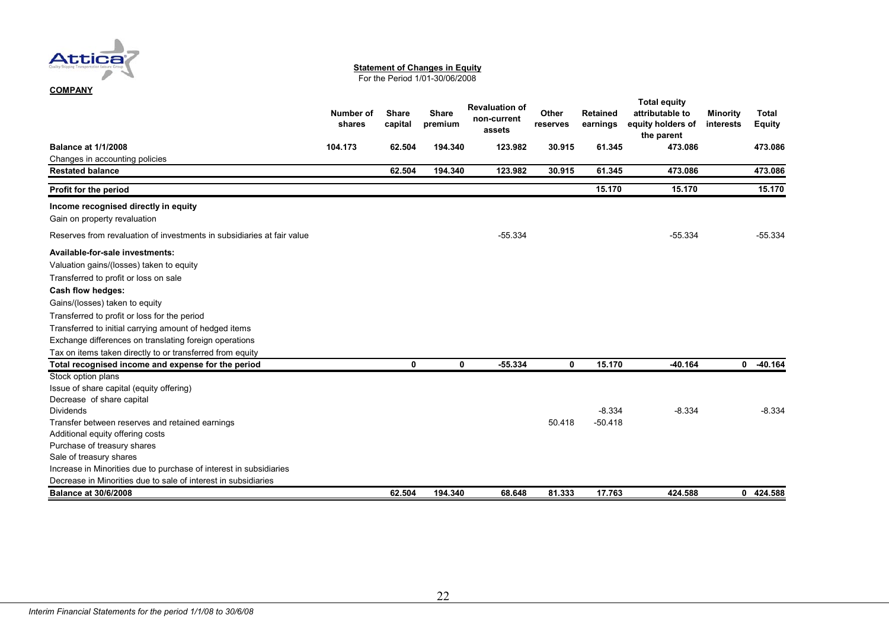

#### **Statement of Changes in Equity**

For the Period 1/01-30/06/2008

|                                                                        | Number of<br>shares | <b>Share</b><br>capital | <b>Share</b><br>premium | <b>Revaluation of</b><br>non-current<br>assets | Other<br>reserves | <b>Retained</b><br>earnings | <b>Total equity</b><br>attributable to<br>equity holders of<br>the parent | <b>Minority</b><br>interests | <b>Total</b><br><b>Equity</b> |
|------------------------------------------------------------------------|---------------------|-------------------------|-------------------------|------------------------------------------------|-------------------|-----------------------------|---------------------------------------------------------------------------|------------------------------|-------------------------------|
| <b>Balance at 1/1/2008</b>                                             | 104.173             | 62.504                  | 194.340                 | 123.982                                        | 30.915            | 61.345                      | 473.086                                                                   |                              | 473.086                       |
| Changes in accounting policies                                         |                     |                         |                         |                                                |                   |                             |                                                                           |                              |                               |
| <b>Restated balance</b>                                                |                     | 62.504                  | 194.340                 | 123.982                                        | 30.915            | 61.345                      | 473.086                                                                   |                              | 473.086                       |
| Profit for the period                                                  |                     |                         |                         |                                                |                   | 15.170                      | 15.170                                                                    |                              | 15.170                        |
| Income recognised directly in equity                                   |                     |                         |                         |                                                |                   |                             |                                                                           |                              |                               |
| Gain on property revaluation                                           |                     |                         |                         |                                                |                   |                             |                                                                           |                              |                               |
| Reserves from revaluation of investments in subsidiaries at fair value |                     |                         |                         | $-55.334$                                      |                   |                             | $-55.334$                                                                 |                              | $-55.334$                     |
| Available-for-sale investments:                                        |                     |                         |                         |                                                |                   |                             |                                                                           |                              |                               |
| Valuation gains/(losses) taken to equity                               |                     |                         |                         |                                                |                   |                             |                                                                           |                              |                               |
| Transferred to profit or loss on sale                                  |                     |                         |                         |                                                |                   |                             |                                                                           |                              |                               |
| Cash flow hedges:                                                      |                     |                         |                         |                                                |                   |                             |                                                                           |                              |                               |
| Gains/(losses) taken to equity                                         |                     |                         |                         |                                                |                   |                             |                                                                           |                              |                               |
| Transferred to profit or loss for the period                           |                     |                         |                         |                                                |                   |                             |                                                                           |                              |                               |
| Transferred to initial carrying amount of hedged items                 |                     |                         |                         |                                                |                   |                             |                                                                           |                              |                               |
| Exchange differences on translating foreign operations                 |                     |                         |                         |                                                |                   |                             |                                                                           |                              |                               |
| Tax on items taken directly to or transferred from equity              |                     |                         |                         |                                                |                   |                             |                                                                           |                              |                               |
| Total recognised income and expense for the period                     |                     | 0                       | 0                       | $-55.334$                                      | 0                 | 15.170                      | $-40.164$                                                                 | $\mathbf 0$                  | $-40.164$                     |
| Stock option plans                                                     |                     |                         |                         |                                                |                   |                             |                                                                           |                              |                               |
| Issue of share capital (equity offering)                               |                     |                         |                         |                                                |                   |                             |                                                                           |                              |                               |
| Decrease of share capital                                              |                     |                         |                         |                                                |                   |                             |                                                                           |                              |                               |
| <b>Dividends</b>                                                       |                     |                         |                         |                                                |                   | $-8.334$                    | $-8.334$                                                                  |                              | $-8.334$                      |
| Transfer between reserves and retained earnings                        |                     |                         |                         |                                                | 50.418            | $-50.418$                   |                                                                           |                              |                               |
| Additional equity offering costs                                       |                     |                         |                         |                                                |                   |                             |                                                                           |                              |                               |
| Purchase of treasury shares                                            |                     |                         |                         |                                                |                   |                             |                                                                           |                              |                               |
| Sale of treasury shares                                                |                     |                         |                         |                                                |                   |                             |                                                                           |                              |                               |
| Increase in Minorities due to purchase of interest in subsidiaries     |                     |                         |                         |                                                |                   |                             |                                                                           |                              |                               |
| Decrease in Minorities due to sale of interest in subsidiaries         |                     |                         |                         |                                                |                   |                             |                                                                           |                              |                               |
| <b>Balance at 30/6/2008</b>                                            |                     | 62.504                  | 194.340                 | 68.648                                         | 81.333            | 17.763                      | 424.588                                                                   |                              | 0 424.588                     |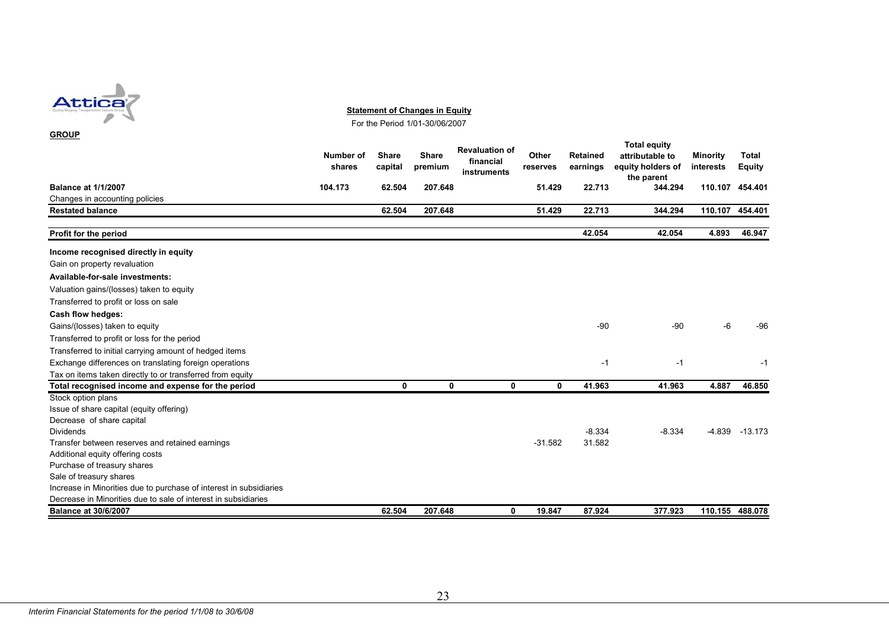

**Statement of Changes in Equity**

For the Period 1/01-30/06/2007

| <b>GROUP</b>                                                       |                     |                         |                         |                                                   |                   |                             |                                                                           |                              |                               |
|--------------------------------------------------------------------|---------------------|-------------------------|-------------------------|---------------------------------------------------|-------------------|-----------------------------|---------------------------------------------------------------------------|------------------------------|-------------------------------|
|                                                                    | Number of<br>shares | <b>Share</b><br>capital | <b>Share</b><br>premium | <b>Revaluation of</b><br>financial<br>instruments | Other<br>reserves | <b>Retained</b><br>earnings | <b>Total equity</b><br>attributable to<br>equity holders of<br>the parent | <b>Minority</b><br>interests | <b>Total</b><br><b>Equity</b> |
| <b>Balance at 1/1/2007</b>                                         | 104.173             | 62.504                  | 207.648                 |                                                   | 51.429            | 22.713                      | 344.294                                                                   | 110.107                      | 454.401                       |
| Changes in accounting policies                                     |                     |                         |                         |                                                   |                   |                             |                                                                           |                              |                               |
| <b>Restated balance</b>                                            |                     | 62.504                  | 207.648                 |                                                   | 51.429            | 22.713                      | 344.294                                                                   | 110.107                      | 454.401                       |
| Profit for the period                                              |                     |                         |                         |                                                   |                   | 42.054                      | 42.054                                                                    | 4.893                        | 46.947                        |
| Income recognised directly in equity                               |                     |                         |                         |                                                   |                   |                             |                                                                           |                              |                               |
| Gain on property revaluation                                       |                     |                         |                         |                                                   |                   |                             |                                                                           |                              |                               |
| Available-for-sale investments:                                    |                     |                         |                         |                                                   |                   |                             |                                                                           |                              |                               |
| Valuation gains/(losses) taken to equity                           |                     |                         |                         |                                                   |                   |                             |                                                                           |                              |                               |
| Transferred to profit or loss on sale                              |                     |                         |                         |                                                   |                   |                             |                                                                           |                              |                               |
| Cash flow hedges:                                                  |                     |                         |                         |                                                   |                   |                             |                                                                           |                              |                               |
| Gains/(losses) taken to equity                                     |                     |                         |                         |                                                   |                   | $-90$                       | -90                                                                       | -6                           | $-96$                         |
| Transferred to profit or loss for the period                       |                     |                         |                         |                                                   |                   |                             |                                                                           |                              |                               |
| Transferred to initial carrying amount of hedged items             |                     |                         |                         |                                                   |                   |                             |                                                                           |                              |                               |
| Exchange differences on translating foreign operations             |                     |                         |                         |                                                   |                   | $-1$                        | $-1$                                                                      |                              | $-1$                          |
| Tax on items taken directly to or transferred from equity          |                     |                         |                         |                                                   |                   |                             |                                                                           |                              |                               |
| Total recognised income and expense for the period                 |                     | 0                       | 0                       | 0                                                 | $\mathbf{0}$      | 41.963                      | 41.963                                                                    | 4.887                        | 46.850                        |
| Stock option plans                                                 |                     |                         |                         |                                                   |                   |                             |                                                                           |                              |                               |
| Issue of share capital (equity offering)                           |                     |                         |                         |                                                   |                   |                             |                                                                           |                              |                               |
| Decrease of share capital                                          |                     |                         |                         |                                                   |                   |                             |                                                                           |                              |                               |
| <b>Dividends</b>                                                   |                     |                         |                         |                                                   |                   | $-8.334$                    | $-8.334$                                                                  | $-4.839$                     | $-13.173$                     |
| Transfer between reserves and retained earnings                    |                     |                         |                         |                                                   | $-31.582$         | 31.582                      |                                                                           |                              |                               |
| Additional equity offering costs                                   |                     |                         |                         |                                                   |                   |                             |                                                                           |                              |                               |
| Purchase of treasury shares                                        |                     |                         |                         |                                                   |                   |                             |                                                                           |                              |                               |
| Sale of treasury shares                                            |                     |                         |                         |                                                   |                   |                             |                                                                           |                              |                               |
| Increase in Minorities due to purchase of interest in subsidiaries |                     |                         |                         |                                                   |                   |                             |                                                                           |                              |                               |
| Decrease in Minorities due to sale of interest in subsidiaries     |                     |                         |                         |                                                   |                   |                             |                                                                           |                              |                               |
| <b>Balance at 30/6/2007</b>                                        |                     | 62.504                  | 207.648                 | 0                                                 | 19.847            | 87.924                      | 377.923                                                                   |                              | 110.155 488.078               |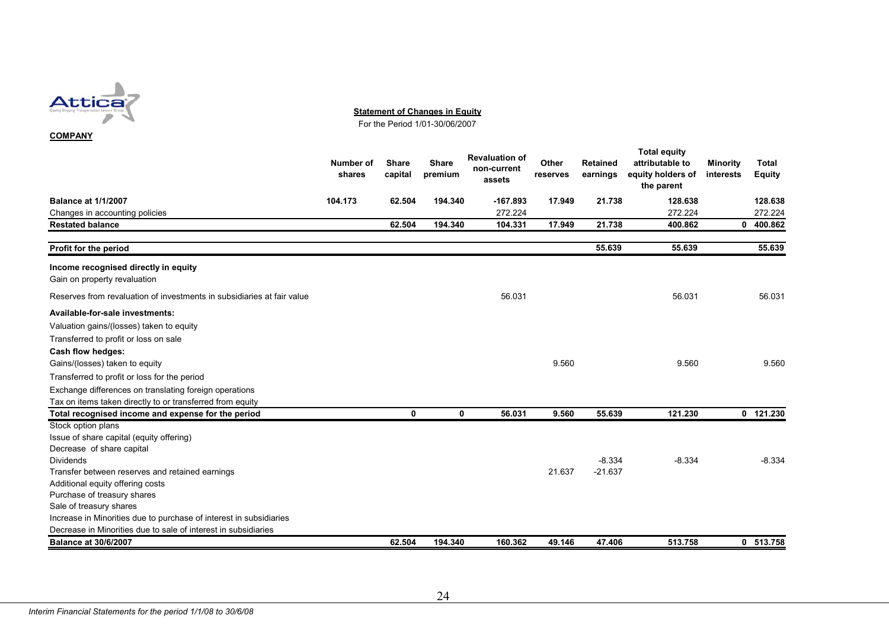

**Statement of Changes in Equity**

For the Period 1/01-30/06/2007

#### **COMPANY**

|                                                                        | Number of<br>shares | <b>Share</b><br>capital | <b>Share</b><br>premium | <b>Revaluation of</b><br>non-current<br>assets | Other<br>reserves | <b>Retained</b><br>earnings | <b>Total equity</b><br>attributable to<br>equity holders of<br>the parent | <b>Minority</b><br>interests | <b>Total</b><br><b>Equity</b> |
|------------------------------------------------------------------------|---------------------|-------------------------|-------------------------|------------------------------------------------|-------------------|-----------------------------|---------------------------------------------------------------------------|------------------------------|-------------------------------|
| <b>Balance at 1/1/2007</b>                                             | 104.173             | 62.504                  | 194.340                 | $-167.893$                                     | 17.949            | 21.738                      | 128.638                                                                   |                              | 128.638                       |
| Changes in accounting policies                                         |                     |                         |                         | 272.224                                        |                   |                             | 272.224                                                                   |                              | 272.224                       |
| <b>Restated balance</b>                                                |                     | 62.504                  | 194.340                 | 104.331                                        | 17.949            | 21.738                      | 400.862                                                                   | 0                            | 400.862                       |
|                                                                        |                     |                         |                         |                                                |                   |                             |                                                                           |                              |                               |
| Profit for the period                                                  |                     |                         |                         |                                                |                   | 55.639                      | 55.639                                                                    |                              | 55.639                        |
| Income recognised directly in equity                                   |                     |                         |                         |                                                |                   |                             |                                                                           |                              |                               |
| Gain on property revaluation                                           |                     |                         |                         |                                                |                   |                             |                                                                           |                              |                               |
| Reserves from revaluation of investments in subsidiaries at fair value |                     |                         |                         | 56.031                                         |                   |                             | 56.031                                                                    |                              | 56.031                        |
| Available-for-sale investments:                                        |                     |                         |                         |                                                |                   |                             |                                                                           |                              |                               |
| Valuation gains/(losses) taken to equity                               |                     |                         |                         |                                                |                   |                             |                                                                           |                              |                               |
| Transferred to profit or loss on sale                                  |                     |                         |                         |                                                |                   |                             |                                                                           |                              |                               |
| Cash flow hedges:                                                      |                     |                         |                         |                                                |                   |                             |                                                                           |                              |                               |
| Gains/(losses) taken to equity                                         |                     |                         |                         |                                                | 9.560             |                             | 9.560                                                                     |                              | 9.560                         |
| Transferred to profit or loss for the period                           |                     |                         |                         |                                                |                   |                             |                                                                           |                              |                               |
| Exchange differences on translating foreign operations                 |                     |                         |                         |                                                |                   |                             |                                                                           |                              |                               |
| Tax on items taken directly to or transferred from equity              |                     |                         |                         |                                                |                   |                             |                                                                           |                              |                               |
| Total recognised income and expense for the period                     |                     | 0                       | $\mathbf{0}$            | 56.031                                         | 9.560             | 55.639                      | 121.230                                                                   |                              | 0 121.230                     |
| Stock option plans                                                     |                     |                         |                         |                                                |                   |                             |                                                                           |                              |                               |
| Issue of share capital (equity offering)                               |                     |                         |                         |                                                |                   |                             |                                                                           |                              |                               |
| Decrease of share capital                                              |                     |                         |                         |                                                |                   |                             |                                                                           |                              |                               |
| <b>Dividends</b>                                                       |                     |                         |                         |                                                |                   | $-8.334$                    | $-8.334$                                                                  |                              | $-8.334$                      |
| Transfer between reserves and retained earnings                        |                     |                         |                         |                                                | 21.637            | $-21.637$                   |                                                                           |                              |                               |
| Additional equity offering costs                                       |                     |                         |                         |                                                |                   |                             |                                                                           |                              |                               |
| Purchase of treasury shares                                            |                     |                         |                         |                                                |                   |                             |                                                                           |                              |                               |
| Sale of treasury shares                                                |                     |                         |                         |                                                |                   |                             |                                                                           |                              |                               |
| Increase in Minorities due to purchase of interest in subsidiaries     |                     |                         |                         |                                                |                   |                             |                                                                           |                              |                               |
| Decrease in Minorities due to sale of interest in subsidiaries         |                     |                         |                         |                                                |                   |                             |                                                                           |                              |                               |
| <b>Balance at 30/6/2007</b>                                            |                     | 62.504                  | 194.340                 | 160.362                                        | 49.146            | 47.406                      | 513.758                                                                   |                              | 0 513.758                     |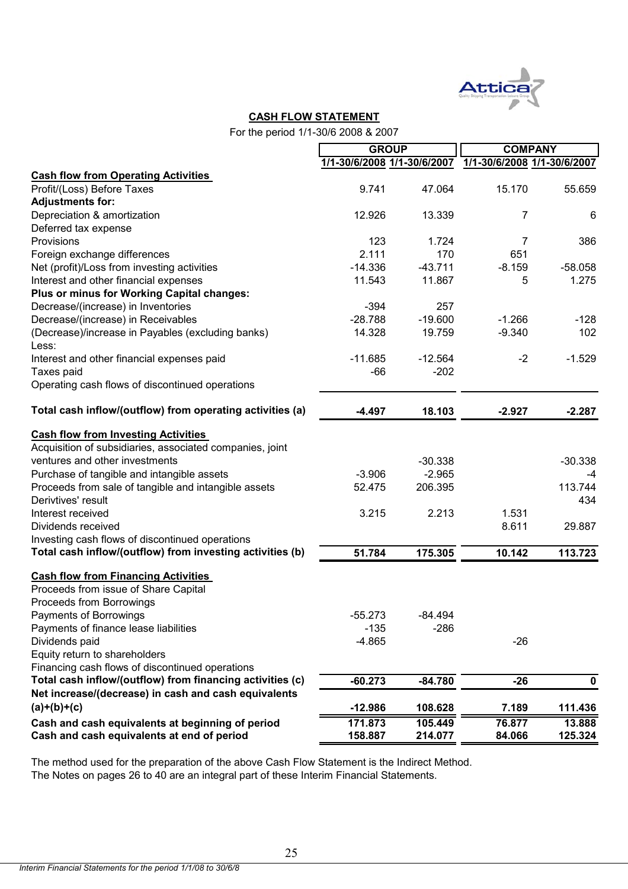

## **CASH FLOW STATEMENT**

For the period 1/1-30/6 2008 & 2007

|                                                           | <b>GROUP</b>                |           | <b>COMPANY</b>              |               |  |
|-----------------------------------------------------------|-----------------------------|-----------|-----------------------------|---------------|--|
|                                                           | 1/1-30/6/2008 1/1-30/6/2007 |           | 1/1-30/6/2008 1/1-30/6/2007 |               |  |
| <b>Cash flow from Operating Activities</b>                |                             |           |                             |               |  |
| Profit/(Loss) Before Taxes                                | 9.741                       | 47.064    | 15.170                      | 55.659        |  |
| <b>Adjustments for:</b>                                   |                             |           |                             |               |  |
| Depreciation & amortization                               | 12.926                      | 13.339    | 7                           | 6             |  |
| Deferred tax expense                                      |                             |           |                             |               |  |
| Provisions                                                | 123                         | 1.724     | 7                           | 386           |  |
| Foreign exchange differences                              | 2.111                       | 170       | 651                         |               |  |
| Net (profit)/Loss from investing activities               | $-14.336$                   | $-43.711$ | $-8.159$                    | $-58.058$     |  |
| Interest and other financial expenses                     | 11.543                      | 11.867    | 5                           | 1.275         |  |
| Plus or minus for Working Capital changes:                |                             |           |                             |               |  |
| Decrease/(increase) in Inventories                        | $-394$                      | 257       |                             |               |  |
| Decrease/(increase) in Receivables                        | $-28.788$                   | $-19.600$ | $-1.266$                    | $-128$        |  |
| (Decrease)/increase in Payables (excluding banks)         | 14.328                      | 19.759    | $-9.340$                    | 102           |  |
| Less:                                                     |                             |           |                             |               |  |
| Interest and other financial expenses paid                | $-11.685$                   | $-12.564$ | $-2$                        | $-1.529$      |  |
| Taxes paid                                                | $-66$                       | $-202$    |                             |               |  |
| Operating cash flows of discontinued operations           |                             |           |                             |               |  |
|                                                           |                             |           |                             |               |  |
| Total cash inflow/(outflow) from operating activities (a) | $-4.497$                    | 18.103    | $-2.927$                    | $-2.287$      |  |
| <b>Cash flow from Investing Activities</b>                |                             |           |                             |               |  |
| Acquisition of subsidiaries, associated companies, joint  |                             |           |                             |               |  |
| ventures and other investments                            |                             | $-30.338$ |                             | $-30.338$     |  |
|                                                           | $-3.906$                    | $-2.965$  |                             |               |  |
| Purchase of tangible and intangible assets                |                             |           |                             | -4<br>113.744 |  |
| Proceeds from sale of tangible and intangible assets      | 52.475                      | 206.395   |                             |               |  |
| Derivtives' result<br>Interest received                   |                             | 2.213     | 1.531                       | 434           |  |
|                                                           | 3.215                       |           |                             |               |  |
| Dividends received                                        |                             |           | 8.611                       | 29.887        |  |
| Investing cash flows of discontinued operations           |                             |           |                             |               |  |
| Total cash inflow/(outflow) from investing activities (b) | 51.784                      | 175.305   | 10.142                      | 113.723       |  |
| <b>Cash flow from Financing Activities</b>                |                             |           |                             |               |  |
| Proceeds from issue of Share Capital                      |                             |           |                             |               |  |
| Proceeds from Borrowings                                  |                             |           |                             |               |  |
| Payments of Borrowings                                    | $-55.273$                   | $-84.494$ |                             |               |  |
| Payments of finance lease liabilities                     | $-135$                      | $-286$    |                             |               |  |
| Dividends paid                                            | $-4.865$                    |           | $-26$                       |               |  |
| Equity return to shareholders                             |                             |           |                             |               |  |
| Financing cash flows of discontinued operations           |                             |           |                             |               |  |
| Total cash inflow/(outflow) from financing activities (c) | $-60.273$                   | $-84.780$ | $-26$                       |               |  |
| Net increase/(decrease) in cash and cash equivalents      |                             |           |                             | 0             |  |
|                                                           |                             |           |                             |               |  |
| $(a)+(b)+(c)$                                             | $-12.986$                   | 108.628   | 7.189                       | 111.436       |  |
| Cash and cash equivalents at beginning of period          | 171.873                     | 105.449   | 76.877                      | 13.888        |  |
| Cash and cash equivalents at end of period                | 158.887                     | 214.077   | 84.066                      | 125.324       |  |

The method used for the preparation of the above Cash Flow Statement is the Indirect Method. The Notes on pages 26 to 40 are an integral part of these Interim Financial Statements.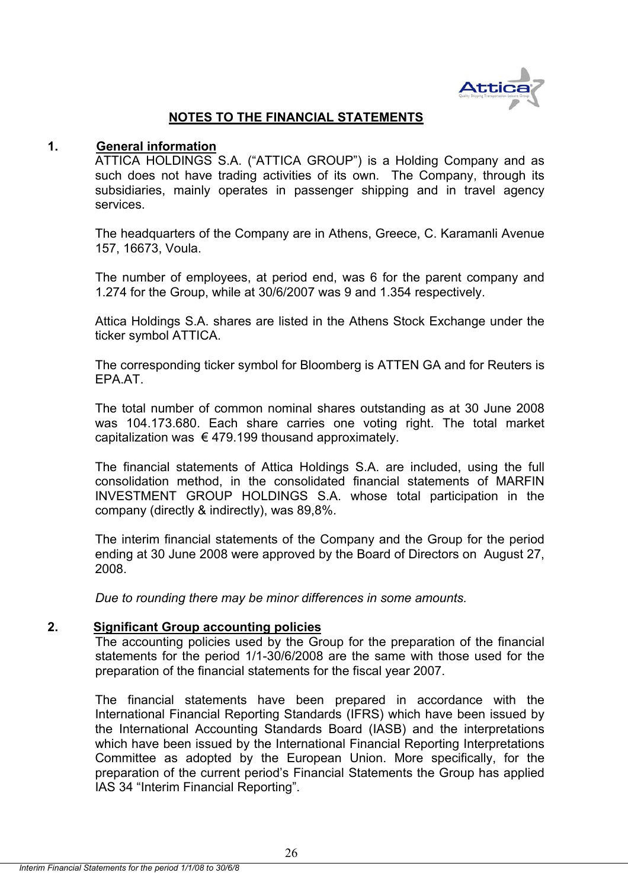

## **NOTES TO THE FINANCIAL STATEMENTS**

## **1. General information**

ATTICA HOLDINGS S.A. ("ATTICA GROUP") is a Holding Company and as such does not have trading activities of its own. The Company, through its subsidiaries, mainly operates in passenger shipping and in travel agency services.

The headquarters of the Company are in Athens, Greece, C. Karamanli Avenue 157, 16673, Voula.

The number of employees, at period end, was 6 for the parent company and 1.274 for the Group, while at 30/6/2007 was 9 and 1.354 respectively.

Attica Holdings S.A. shares are listed in the Athens Stock Exchange under the ticker symbol ATTICA.

The corresponding ticker symbol for Bloomberg is ATTEN GA and for Reuters is EPA.AT.

The total number of common nominal shares outstanding as at 30 June 2008 was 104.173.680. Each share carries one voting right. The total market capitalization was  $\epsilon$  479.199 thousand approximately.

The financial statements of Attica Holdings S.A. are included, using the full consolidation method, in the consolidated financial statements of MARFIN INVESTMENT GROUP HOLDINGS S.A. whose total participation in the company (directly & indirectly), was 89,8%.

The interim financial statements of the Company and the Group for the period ending at 30 June 2008 were approved by the Board of Directors on August 27, 2008.

*Due to rounding there may be minor differences in some amounts.* 

## **2. Significant Group accounting policies**

The accounting policies used by the Group for the preparation of the financial statements for the period 1/1-30/6/2008 are the same with those used for the preparation of the financial statements for the fiscal year 2007.

The financial statements have been prepared in accordance with the International Financial Reporting Standards (IFRS) which have been issued by the International Accounting Standards Board (IASB) and the interpretations which have been issued by the International Financial Reporting Interpretations Committee as adopted by the European Union. More specifically, for the preparation of the current period's Financial Statements the Group has applied IAS 34 "Interim Financial Reporting".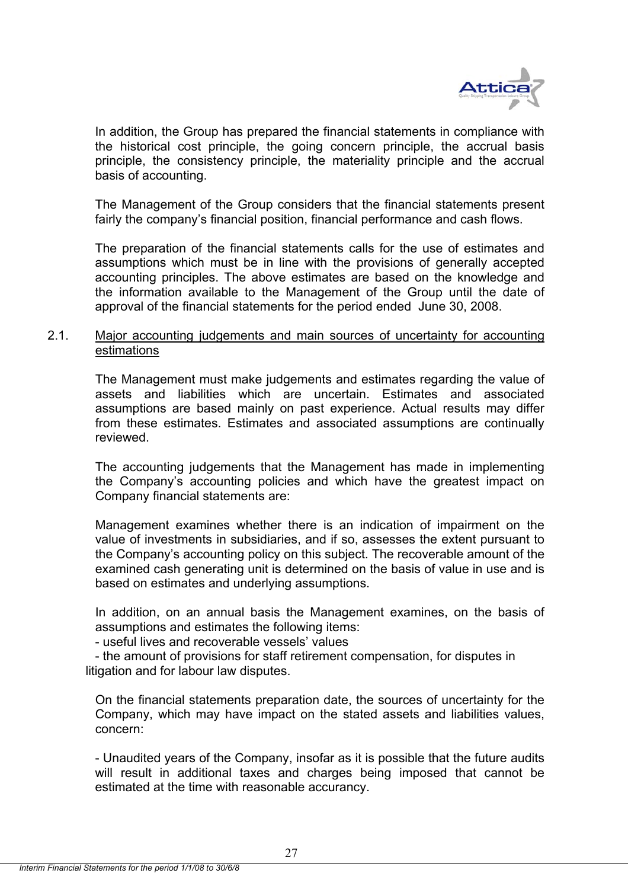

In addition, the Group has prepared the financial statements in compliance with the historical cost principle, the going concern principle, the accrual basis principle, the consistency principle, the materiality principle and the accrual basis of accounting.

The Management of the Group considers that the financial statements present fairly the company's financial position, financial performance and cash flows.

The preparation of the financial statements calls for the use of estimates and assumptions which must be in line with the provisions of generally accepted accounting principles. The above estimates are based οn the knowledge and the information available to the Management of the Group until the date of approval of the financial statements for the period ended June 30, 2008.

## 2.1. Major accounting judgements and main sources of uncertainty for accounting estimations

The Management must make judgements and estimates regarding the value of assets and liabilities which are uncertain. Estimates and associated assumptions are based mainly on past experience. Actual results may differ from these estimates. Estimates and associated assumptions are continually reviewed.

The accounting judgements that the Management has made in implementing the Company's accounting policies and which have the greatest impact on Company financial statements are:

Management examines whether there is an indication of impairment on the value of investments in subsidiaries, and if so, assesses the extent pursuant to the Company's accounting policy on this subject. The recoverable amount of the examined cash generating unit is determined on the basis of value in use and is based on estimates and underlying assumptions.

In addition, on an annual basis the Management examines, on the basis of assumptions and estimates the following items:

- useful lives and recoverable vessels' values

- the amount of provisions for staff retirement compensation, for disputes in litigation and for labour law disputes.

On the financial statements preparation date, the sources of uncertainty for the Company, which may have impact on the stated assets and liabilities values, concern:

- Unaudited years of the Company, insofar as it is possible that the future audits will result in additional taxes and charges being imposed that cannot be estimated at the time with reasonable accurancy.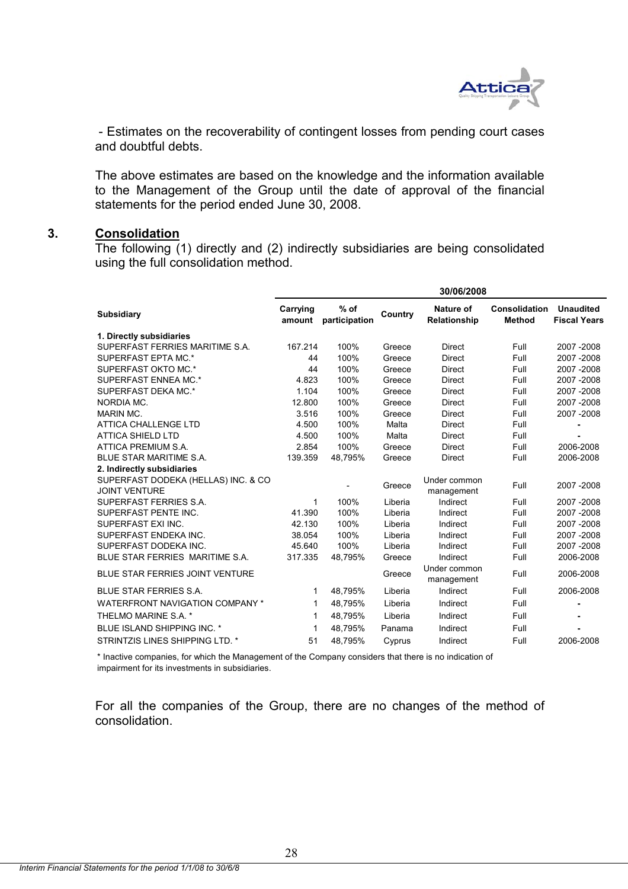

 - Estimates on the recoverability of contingent losses from pending court cases and doubtful debts.

The above estimates are based οn the knowledge and the information available to the Management of the Group until the date of approval of the financial statements for the period ended June 30, 2008.

## **3. Consolidation**

The following (1) directly and (2) indirectly subsidiaries are being consolidated using the full consolidation method.

|                                                             | 30/06/2008         |                         |         |                            |                                |                                         |
|-------------------------------------------------------------|--------------------|-------------------------|---------|----------------------------|--------------------------------|-----------------------------------------|
| <b>Subsidiary</b>                                           | Carrying<br>amount | $%$ of<br>participation | Country | Nature of<br>Relationship  | Consolidation<br><b>Method</b> | <b>Unaudited</b><br><b>Fiscal Years</b> |
| 1. Directly subsidiaries                                    |                    |                         |         |                            |                                |                                         |
| SUPERFAST FERRIES MARITIME S.A.                             | 167.214            | 100%                    | Greece  | <b>Direct</b>              | Full                           | 2007-2008                               |
| SUPERFAST EPTA MC.*                                         | 44                 | 100%                    | Greece  | <b>Direct</b>              | Full                           | 2007-2008                               |
| SUPERFAST OKTO MC.*                                         | 44                 | 100%                    | Greece  | <b>Direct</b>              | Full                           | 2007-2008                               |
| SUPERFAST ENNEA MC.*                                        | 4.823              | 100%                    | Greece  | <b>Direct</b>              | Full                           | 2007-2008                               |
| SUPERFAST DEKA MC.*                                         | 1.104              | 100%                    | Greece  | <b>Direct</b>              | Full                           | 2007-2008                               |
| NORDIA MC.                                                  | 12.800             | 100%                    | Greece  | <b>Direct</b>              | Full                           | 2007-2008                               |
| <b>MARIN MC.</b>                                            | 3.516              | 100%                    | Greece  | <b>Direct</b>              | Full                           | 2007-2008                               |
| <b>ATTICA CHALLENGE LTD</b>                                 | 4.500              | 100%                    | Malta   | <b>Direct</b>              | Full                           |                                         |
| <b>ATTICA SHIELD LTD</b>                                    | 4.500              | 100%                    | Malta   | <b>Direct</b>              | Full                           |                                         |
| ATTICA PREMIUM S.A.                                         | 2.854              | 100%                    | Greece  | <b>Direct</b>              | Full                           | 2006-2008                               |
| BLUE STAR MARITIME S.A.                                     | 139.359            | 48,795%                 | Greece  | <b>Direct</b>              | Full                           | 2006-2008                               |
| 2. Indirectly subsidiaries                                  |                    |                         |         |                            |                                |                                         |
| SUPERFAST DODEKA (HELLAS) INC. & CO<br><b>JOINT VENTURE</b> |                    |                         | Greece  | Under common<br>management | Full                           | 2007-2008                               |
| SUPERFAST FERRIES S.A.                                      | 1                  | 100%                    | Liberia | Indirect                   | Full                           | 2007-2008                               |
| SUPERFAST PENTE INC.                                        | 41.390             | 100%                    | Liberia | Indirect                   | Full                           | 2007-2008                               |
| SUPERFAST EXI INC.                                          | 42.130             | 100%                    | Liberia | Indirect                   | Full                           | 2007-2008                               |
| SUPERFAST ENDEKA INC.                                       | 38.054             | 100%                    | Liberia | Indirect                   | Full                           | 2007-2008                               |
| SUPERFAST DODEKA INC.                                       | 45.640             | 100%                    | Liberia | Indirect                   | Full                           | 2007-2008                               |
| BLUE STAR FERRIES MARITIME S.A.                             | 317.335            | 48,795%                 | Greece  | Indirect                   | Full                           | 2006-2008                               |
| BLUE STAR FERRIES JOINT VENTURE                             |                    |                         | Greece  | Under common<br>management | Full                           | 2006-2008                               |
| <b>BLUE STAR FERRIES S.A.</b>                               | 1                  | 48,795%                 | Liberia | Indirect                   | Full                           | 2006-2008                               |
| <b>WATERFRONT NAVIGATION COMPANY *</b>                      | 1                  | 48,795%                 | Liberia | Indirect                   | Full                           |                                         |
| THELMO MARINE S.A. *                                        | 1                  | 48,795%                 | Liberia | Indirect                   | Full                           |                                         |
| BLUE ISLAND SHIPPING INC. *                                 | 1                  | 48,795%                 | Panama  | Indirect                   | Full                           |                                         |
| STRINTZIS LINES SHIPPING LTD. *                             | 51                 | 48,795%                 | Cyprus  | Indirect                   | Full                           | 2006-2008                               |

\* Inactive companies, for which the Management of the Company considers that there is no indication of impairment for its investments in subsidiaries.

For all the companies of the Group, there are no changes of the method of consolidation.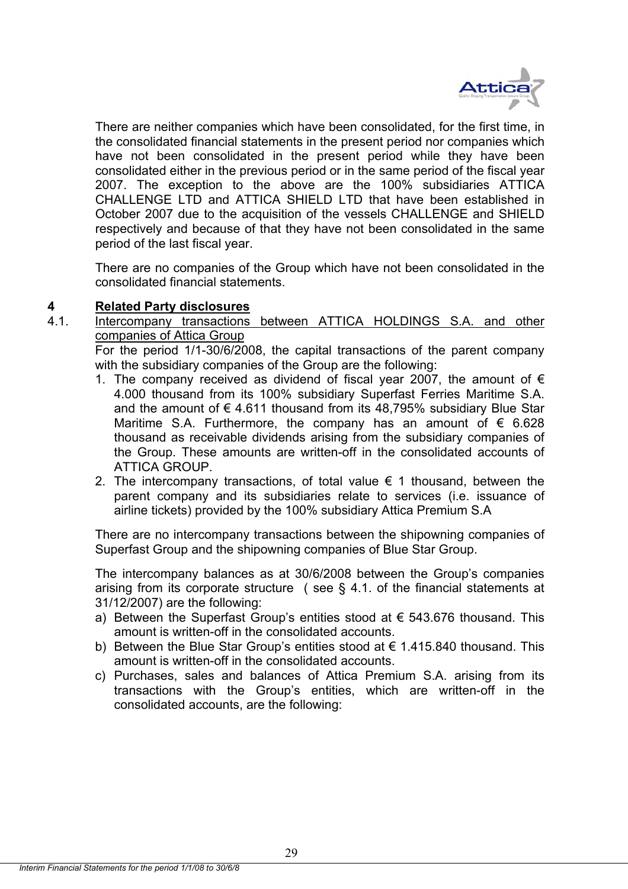

There are neither companies which have been consolidated, for the first time, in the consolidated financial statements in the present period nor companies which have not been consolidated in the present period while they have been consolidated either in the previous period or in the same period of the fiscal year 2007. The exception to the above are the 100% subsidiaries ATTICA CHALLENGE LTD and ATTICA SHIELD LTD that have been established in October 2007 due to the acquisition of the vessels CHALLENGE and SHIELD respectively and because of that they have not been consolidated in the same period of the last fiscal year.

There are no companies of the Group which have not been consolidated in the consolidated financial statements.

## **4 Related Party disclosures**

4.1. Intercompany transactions between ATTICA HOLDINGS S.A. and other companies of Attica Group

For the period 1/1-30/6/2008, the capital transactions of the parent company with the subsidiary companies of the Group are the following:

- 1. The company received as dividend of fiscal year 2007, the amount of  $\epsilon$ 4.000 thousand from its 100% subsidiary Superfast Ferries Maritime S.A. and the amount of  $\epsilon$  4.611 thousand from its 48,795% subsidiary Blue Star Maritime S.A. Furthermore, the company has an amount of  $\epsilon$  6.628 thousand as receivable dividends arising from the subsidiary companies of the Group. These amounts are written-off in the consolidated accounts of ATTICA GROUP.
- 2. The intercompany transactions, of total value  $\epsilon$  1 thousand, between the parent company and its subsidiaries relate to services (i.e. issuance of airline tickets) provided by the 100% subsidiary Attica Premium S.A

There are no intercompany transactions between the shipowning companies of Superfast Group and the shipowning companies of Blue Star Group.

The intercompany balances as at 30/6/2008 between the Group's companies arising from its corporate structure ( see § 4.1. of the financial statements at 31/12/2007) are the following:

- a) Between the Superfast Group's entities stood at  $\epsilon$  543.676 thousand. This amount is written-off in the consolidated accounts.
- b) Between the Blue Star Group's entities stood at € 1.415.840 thousand. This amount is written-off in the consolidated accounts.
- c) Purchases, sales and balances of Attica Premium S.A. arising from its transactions with the Group's entities, which are written-off in the consolidated accounts, are the following: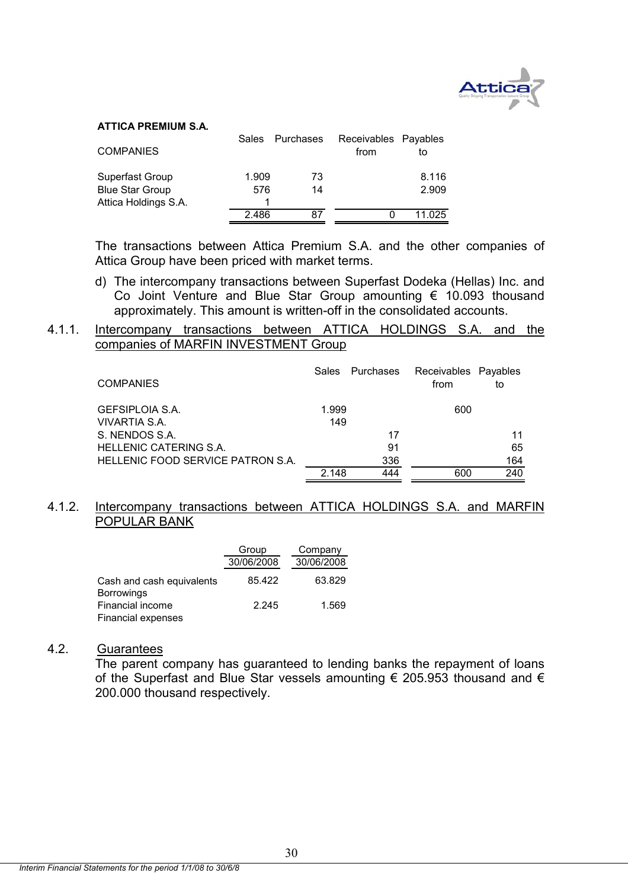

#### **ATTICA PREMIUM S.A.**

| <b>COMPANIES</b>                          | Sales        | Purchases | Receivables Payables<br>from | to             |
|-------------------------------------------|--------------|-----------|------------------------------|----------------|
| Superfast Group<br><b>Blue Star Group</b> | 1.909<br>576 | 73<br>14  |                              | 8.116<br>2.909 |
| Attica Holdings S.A.                      |              |           |                              |                |
|                                           | 2.486        | 87        |                              | 11 025         |

The transactions between Attica Premium S.A. and the other companies of Attica Group have been priced with market terms.

d) The intercompany transactions between Superfast Dodeka (Hellas) Inc. and Co Joint Venture and Blue Star Group amounting € 10.093 thousand approximately. This amount is written-off in the consolidated accounts.

## 4.1.1. Intercompany transactions between ATTICA HOLDINGS S.A. and the companies of MARFIN INVESTMENT Group

| <b>COMPANIES</b>                  | Sales | Purchases | Receivables Payables<br>from | to  |
|-----------------------------------|-------|-----------|------------------------------|-----|
| GEFSIPLOIA S.A.                   | 1.999 |           | 600                          |     |
| <b>VIVARTIA S.A.</b>              | 149   |           |                              |     |
| S. NENDOS S.A.                    |       | 17        |                              | 11  |
| HELLENIC CATERING S.A.            |       | 91        |                              | 65  |
| HELLENIC FOOD SERVICE PATRON S.A. |       | 336       |                              | 164 |
|                                   | 2.148 | 444       | 600                          | 240 |

## 4.1.2. Intercompany transactions between ATTICA HOLDINGS S.A. and MARFIN POPULAR BANK

|                                                | Group      | Company    |
|------------------------------------------------|------------|------------|
|                                                | 30/06/2008 | 30/06/2008 |
| Cash and cash equivalents<br><b>Borrowings</b> | 85.422     | 63.829     |
| Financial income                               | 2.245      | 1.569      |
| Financial expenses                             |            |            |

## 4.2. Guarantees

 The parent company has guaranteed to lending banks the repayment of loans of the Superfast and Blue Star vessels amounting  $\epsilon$  205.953 thousand and  $\epsilon$ 200.000 thousand respectively.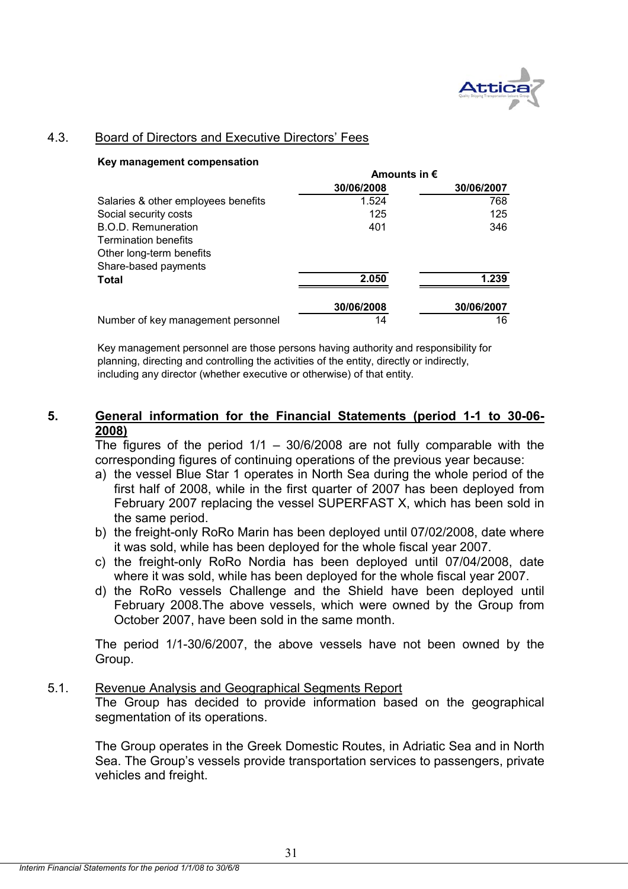

## 4.3. Board of Directors and Executive Directors' Fees

#### **Key management compensation**

|                                     | Amounts in $\epsilon$ |            |
|-------------------------------------|-----------------------|------------|
|                                     | 30/06/2008            | 30/06/2007 |
| Salaries & other employees benefits | 1.524                 | 768        |
| Social security costs               | 125                   | 125        |
| <b>B.O.D. Remuneration</b>          | 401                   | 346        |
| <b>Termination benefits</b>         |                       |            |
| Other long-term benefits            |                       |            |
| Share-based payments                |                       |            |
| Total                               | 2.050                 | 1.239      |
|                                     | 30/06/2008            | 30/06/2007 |
| Number of key management personnel  | 14                    | 16         |

Key management personnel are those persons having authority and responsibility for planning, directing and controlling the activities of the entity, directly or indirectly, including any director (whether executive or otherwise) of that entity.

## **5. General information for the Financial Statements (period 1-1 to 30-06- 2008)**

The figures of the period  $1/1 - 30/6/2008$  are not fully comparable with the corresponding figures of continuing operations of the previous year because:

- a) the vessel Blue Star 1 operates in North Sea during the whole period of the first half of 2008, while in the first quarter of 2007 has been deployed from February 2007 replacing the vessel SUPERFAST X, which has been sold in the same period.
- b) the freight-only RoRo Marin has been deployed until 07/02/2008, date where it was sold, while has been deployed for the whole fiscal year 2007.
- c) the freight-only RoRo Nordia has been deployed until 07/04/2008, date where it was sold, while has been deployed for the whole fiscal year 2007.
- d) the RoRo vessels Challenge and the Shield have been deployed until February 2008.The above vessels, which were owned by the Group from October 2007, have been sold in the same month.

The period 1/1-30/6/2007, the above vessels have not been owned by the Group.

## 5.1. Revenue Analysis and Geographical Segments Report

The Group has decided to provide information based on the geographical segmentation of its operations.

The Group operates in the Greek Domestic Routes, in Adriatic Sea and in North Sea. The Group's vessels provide transportation services to passengers, private vehicles and freight.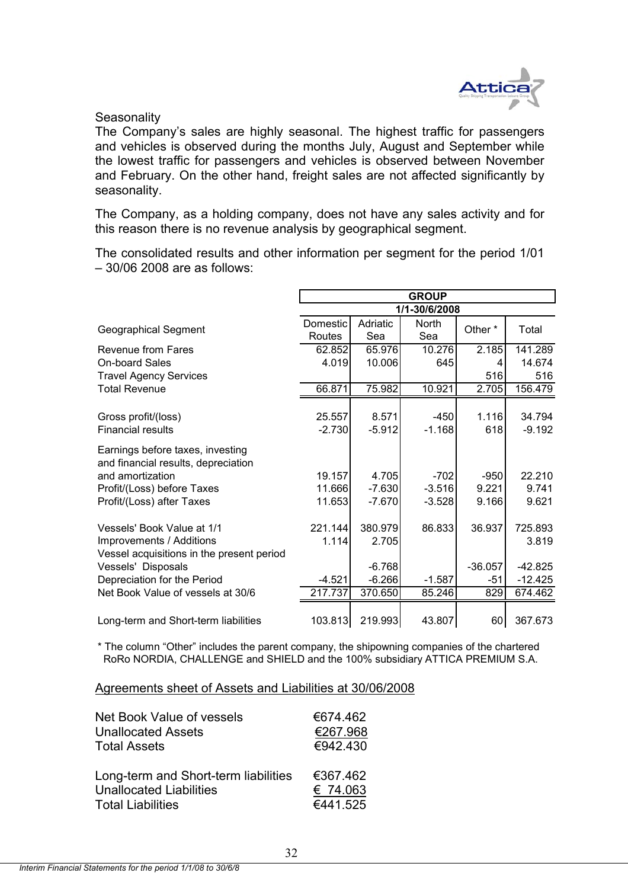

**Seasonality** 

The Company's sales are highly seasonal. The highest traffic for passengers and vehicles is observed during the months July, August and September while the lowest traffic for passengers and vehicles is observed between November and February. On the other hand, freight sales are not affected significantly by seasonality.

The Company, as a holding company, does not have any sales activity and for this reason there is no revenue analysis by geographical segment.

The consolidated results and other information per segment for the period 1/01 – 30/06 2008 are as follows:

|                                                                         | <b>GROUP</b>       |                  |              |                    |                  |  |  |  |
|-------------------------------------------------------------------------|--------------------|------------------|--------------|--------------------|------------------|--|--|--|
|                                                                         | 1/1-30/6/2008      |                  |              |                    |                  |  |  |  |
| <b>Geographical Segment</b>                                             | Domestic<br>Routes | Adriatic<br>Sea  | North<br>Sea | Other*             | Total            |  |  |  |
| <b>Revenue from Fares</b>                                               | 62.852             | 65.976           | 10.276       | 2.185              | 141.289          |  |  |  |
| <b>On-board Sales</b>                                                   | 4.019              | 10.006           | 645          | 4                  | 14.674           |  |  |  |
| <b>Travel Agency Services</b>                                           |                    |                  |              | 516                | 516              |  |  |  |
| <b>Total Revenue</b>                                                    | 66.871             | 75.982           | 10.921       | $\overline{2.705}$ | 156.479          |  |  |  |
|                                                                         |                    |                  |              |                    |                  |  |  |  |
| Gross profit/(loss)                                                     | 25.557             | 8.571            | $-450$       | 1.116              | 34.794           |  |  |  |
| <b>Financial results</b>                                                | $-2.730$           | $-5.912$         | $-1.168$     | 618                | $-9.192$         |  |  |  |
| Earnings before taxes, investing<br>and financial results, depreciation |                    |                  |              |                    |                  |  |  |  |
| and amortization                                                        | 19.157             | 4.705            | $-702$       | $-950$             | 22.210           |  |  |  |
| Profit/(Loss) before Taxes                                              | 11.666             | $-7.630$         | $-3.516$     | 9.221              | 9.741            |  |  |  |
| Profit/(Loss) after Taxes                                               | 11.653             | $-7.670$         | $-3.528$     | 9.166              | 9.621            |  |  |  |
| Vessels' Book Value at 1/1<br>Improvements / Additions                  | 221.144<br>1.114   | 380.979<br>2.705 | 86.833       | 36.937             | 725.893<br>3.819 |  |  |  |
| Vessel acquisitions in the present period                               |                    |                  |              |                    |                  |  |  |  |
| Vessels' Disposals                                                      |                    | $-6.768$         |              | $-36.057$          | $-42.825$        |  |  |  |
| Depreciation for the Period                                             | $-4.521$           | $-6.266$         | $-1.587$     | -51                | $-12.425$        |  |  |  |
| Net Book Value of vessels at 30/6                                       | 217.737            | 370.650          | 85.246       | 829                | 674.462          |  |  |  |
|                                                                         |                    |                  |              |                    |                  |  |  |  |
| Long-term and Short-term liabilities                                    | 103.813            | 219.993          | 43.807       | 60                 | 367.673          |  |  |  |

\* The column "Other" includes the parent company, the shipowning companies of the chartered RoRo NORDIA, CHALLENGE and SHIELD and the 100% subsidiary ATTICA PREMIUM S.A.

#### Agreements sheet of Assets and Liabilities at 30/06/2008

| Net Book Value of vessels            | €674.462 |
|--------------------------------------|----------|
| <b>Unallocated Assets</b>            | €267.968 |
| <b>Total Assets</b>                  | €942.430 |
| Long-term and Short-term liabilities | €367.462 |
| <b>Unallocated Liabilities</b>       | € 74.063 |
| <b>Total Liabilities</b>             | €441.525 |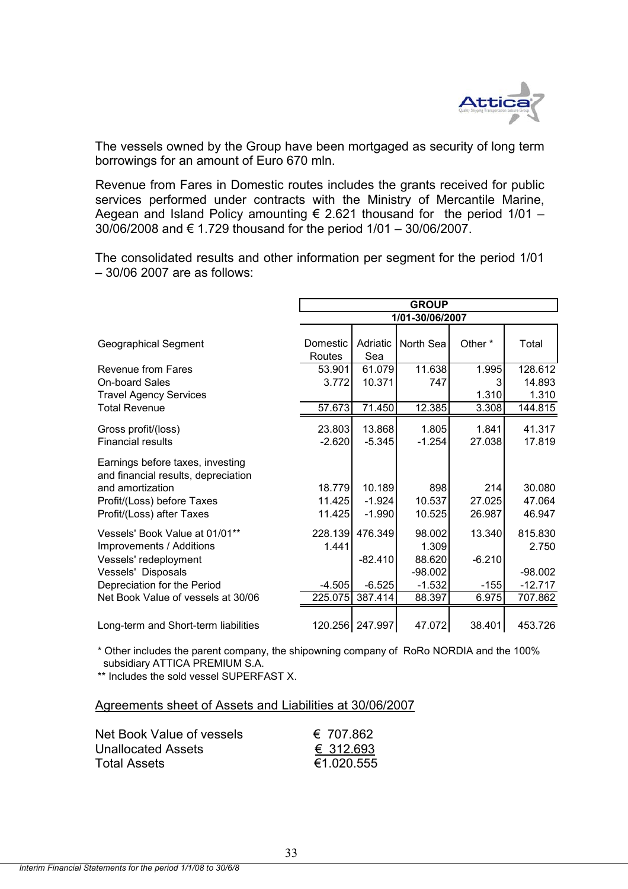

The vessels owned by the Group have been mortgaged as security of long term borrowings for an amount of Euro 670 mln.

Revenue from Fares in Domestic routes includes the grants received for public services performed under contracts with the Ministry of Mercantile Marine, Aegean and Island Policy amounting  $\epsilon$  2.621 thousand for the period 1/01 – 30/06/2008 and € 1.729 thousand for the period 1/01 – 30/06/2007.

The consolidated results and other information per segment for the period 1/01 – 30/06 2007 are as follows:

|                                                                                                                                                        | <b>GROUP</b>               |                                |                                        |                         |                               |  |  |  |
|--------------------------------------------------------------------------------------------------------------------------------------------------------|----------------------------|--------------------------------|----------------------------------------|-------------------------|-------------------------------|--|--|--|
|                                                                                                                                                        | 1/01-30/06/2007            |                                |                                        |                         |                               |  |  |  |
| <b>Geographical Segment</b>                                                                                                                            | <b>Domestic</b><br>Routes  | Adriatic<br>Sea                | North Sea                              | Other <sup>*</sup>      | Total                         |  |  |  |
| Revenue from Fares<br><b>On-board Sales</b><br><b>Travel Agency Services</b>                                                                           | 53.901<br>3.772            | 61.079<br>10.371               | 11.638<br>747                          | 1.995<br>1.310          | 128.612<br>14.893<br>1.310    |  |  |  |
| <b>Total Revenue</b>                                                                                                                                   | 57.673                     | 71.450                         | 12.385                                 | 3.308                   | 144.815                       |  |  |  |
| Gross profit/(loss)<br><b>Financial results</b>                                                                                                        | 23.803<br>$-2.620$         | 13.868<br>$-5.345$             | 1.805<br>$-1.254$                      | 1.841<br>27.038         | 41.317<br>17.819              |  |  |  |
| Earnings before taxes, investing<br>and financial results, depreciation<br>and amortization<br>Profit/(Loss) before Taxes<br>Profit/(Loss) after Taxes | 18.779<br>11.425<br>11.425 | 10.189<br>$-1.924$<br>$-1.990$ | 898<br>10.537<br>10.525                | 214<br>27.025<br>26.987 | 30.080<br>47.064<br>46.947    |  |  |  |
| Vessels' Book Value at 01/01**<br>Improvements / Additions<br>Vessels' redeployment<br>Vessels' Disposals                                              | 228.139<br>1.441           | 476.349<br>$-82.410$           | 98.002<br>1.309<br>88.620<br>$-98.002$ | 13.340<br>$-6.210$      | 815.830<br>2.750<br>$-98.002$ |  |  |  |
| Depreciation for the Period                                                                                                                            | $-4.505$                   | $-6.525$                       | $-1.532$                               | $-155$                  | $-12.717$                     |  |  |  |
| Net Book Value of vessels at 30/06                                                                                                                     | 225.075                    | 387.414                        | 88.397                                 | 6.975                   | 707.862                       |  |  |  |
| Long-term and Short-term liabilities                                                                                                                   |                            | 120.256 247.997                | 47.072                                 | 38.401                  | 453.726                       |  |  |  |

 subsidiary ATTICA PREMIUM S.A. \* Other includes the parent company, the shipowning company of RoRo NORDIA and the 100%

\*\* Includes the sold vessel SUPERFAST X.

## Agreements sheet of Assets and Liabilities at 30/06/2007

| Net Book Value of vessels | € 707.862  |
|---------------------------|------------|
| Unallocated Assets        | € 312.693  |
| Total Assets              | €1.020.555 |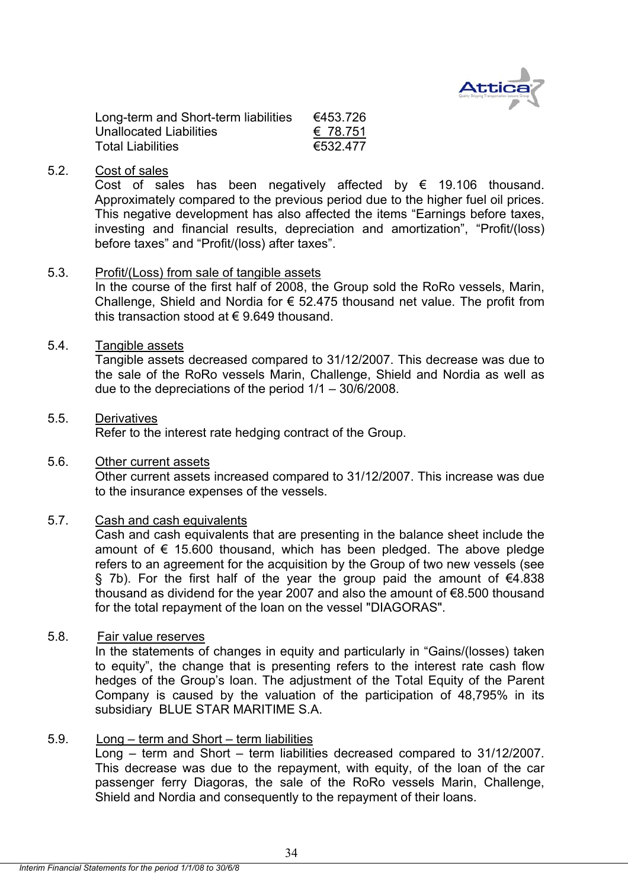

| Long-term and Short-term liabilities | €453.726 |
|--------------------------------------|----------|
| Unallocated Liabilities              | € 78.751 |
| <b>Total Liabilities</b>             | €532.477 |

## 5.2. Cost of sales

Cost of sales has been negatively affected by  $\epsilon$  19.106 thousand. Approximately compared to the previous period due to the higher fuel oil prices. This negative development has also affected the items "Earnings before taxes, investing and financial results, depreciation and amortization", "Profit/(loss) before taxes" and "Profit/(loss) after taxes".

## 5.3. Profit/(Loss) from sale of tangible assets

In the course of the first half of 2008, the Group sold the RoRo vessels, Marin, Challenge, Shield and Nordia for  $\epsilon$  52.475 thousand net value. The profit from this transaction stood at  $\epsilon$  9.649 thousand.

### 5.4. Tangible assets

Tangible assets decreased compared to 31/12/2007. This decrease was due to the sale of the RoRo vessels Marin, Challenge, Shield and Nordia as well as due to the depreciations of the period 1/1 – 30/6/2008.

## 5.5. Derivatives

Refer to the interest rate hedging contract of the Group.

## 5.6. Other current assets

 Other current assets increased compared to 31/12/2007. This increase was due to the insurance expenses of the vessels.

## 5.7. Cash and cash equivalents

 Cash and cash equivalents that are presenting in the balance sheet include the amount of  $\epsilon$  15.600 thousand, which has been pledged. The above pledge refers to an agreement for the acquisition by the Group of two new vessels (see § 7b). For the first half of the year the group paid the amount of  $€4.838$ thousand as dividend for the year 2007 and also the amount of €8.500 thousand for the total repayment of the loan on the vessel "DIAGORAS".

## 5.8. Fair value reserves

In the statements of changes in equity and particularly in "Gains/(losses) taken to equity", the change that is presenting refers to the interest rate cash flow hedges of the Group's loan. The adjustment of the Total Equity of the Parent Company is caused by the valuation of the participation of 48,795% in its subsidiary BLUE STAR MARITIME S.A.

## 5.9. Long – term and Short – term liabilities

Long – term and Short – term liabilities decreased compared to 31/12/2007. This decrease was due to the repayment, with equity, of the loan of the car passenger ferry Diagoras, the sale of the RoRo vessels Marin, Challenge, Shield and Nordia and consequently to the repayment of their loans.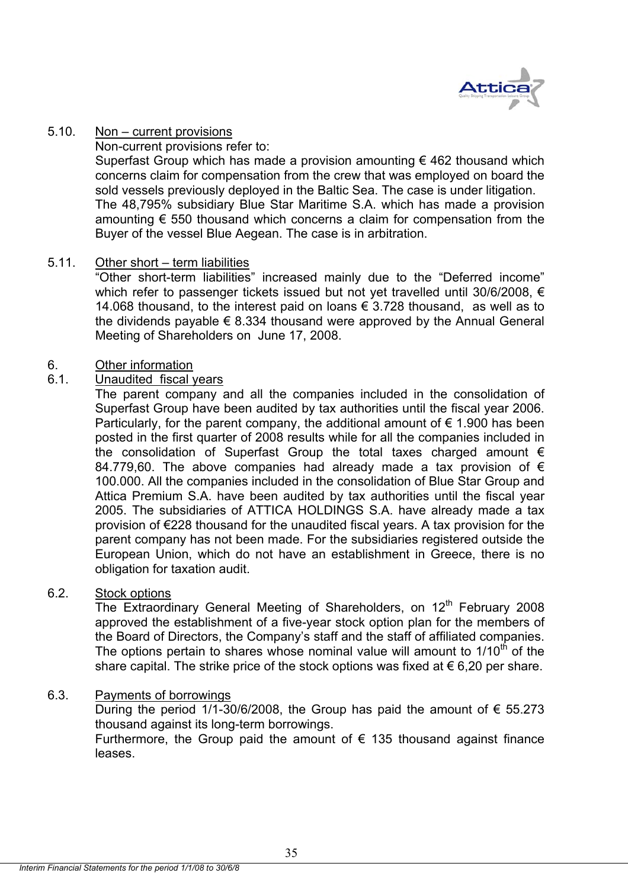

## 5.10. Non – current provisions

Non-current provisions refer to:

Superfast Group which has made a provision amounting  $\epsilon$  462 thousand which concerns claim for compensation from the crew that was employed on board the sold vessels previously deployed in the Baltic Sea. The case is under litigation. The 48,795% subsidiary Blue Star Maritime S.A. which has made a provision amounting  $\epsilon$  550 thousand which concerns a claim for compensation from the Buyer of the vessel Blue Aegean. The case is in arbitration.

## 5.11. Other short – term liabilities

"Other short-term liabilities" increased mainly due to the "Deferred income" which refer to passenger tickets issued but not yet travelled until 30/6/2008, € 14.068 thousand, to the interest paid on loans € 3.728 thousand, as well as to the dividends payable  $\epsilon$  8.334 thousand were approved by the Annual General Meeting of Shareholders on June 17, 2008.

## 6. Other information

## 6.1. Unaudited fiscal years

The parent company and all the companies included in the consolidation of Superfast Group have been audited by tax authorities until the fiscal year 2006. Particularly, for the parent company, the additional amount of  $\epsilon$  1.900 has been posted in the first quarter of 2008 results while for all the companies included in the consolidation of Superfast Group the total taxes charged amount  $\epsilon$ 84.779,60. The above companies had already made a tax provision of  $\epsilon$ 100.000. All the companies included in the consolidation of Blue Star Group and Attica Premium S.A. have been audited by tax authorities until the fiscal year 2005. The subsidiaries of ATTICA HOLDINGS S.A. have already made a tax provision of €228 thousand for the unaudited fiscal years. A tax provision for the parent company has not been made. For the subsidiaries registered outside the European Union, which do not have an establishment in Greece, there is no obligation for taxation audit.

## 6.2. Stock options

The Extraordinary General Meeting of Shareholders, on  $12<sup>th</sup>$  February 2008 approved the establishment of a five-year stock option plan for the members of the Board of Directors, the Company's staff and the staff of affiliated companies. The options pertain to shares whose nominal value will amount to  $1/10<sup>th</sup>$  of the share capital. The strike price of the stock options was fixed at  $\epsilon$  6,20 per share.

## 6.3. Payments of borrowings

During the period 1/1-30/6/2008, the Group has paid the amount of  $\epsilon$  55.273 thousand against its long-term borrowings.

Furthermore, the Group paid the amount of  $\epsilon$  135 thousand against finance leases.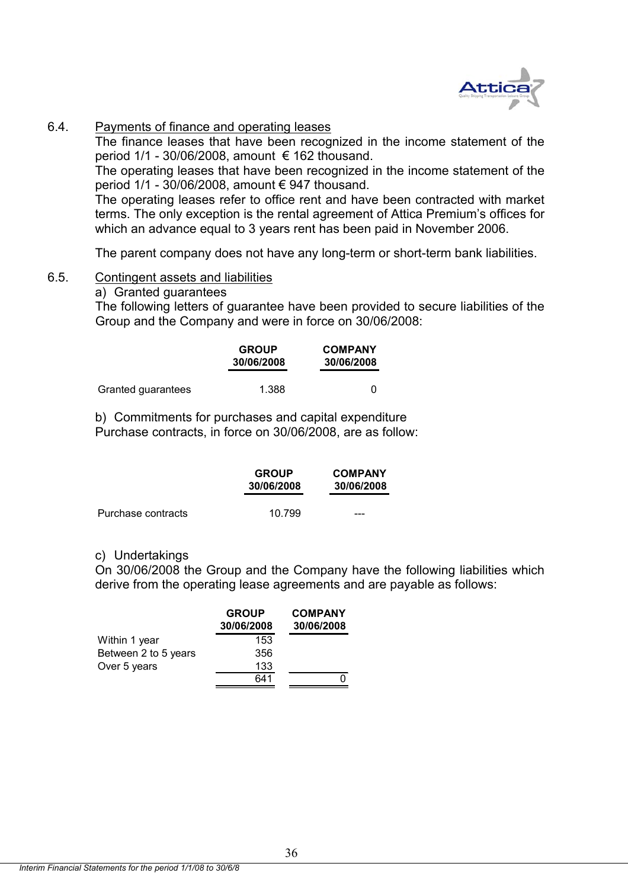

## 6.4. Payments of finance and operating leases

The finance leases that have been recognized in the income statement of the period  $1/1$  - 30/06/2008, amount  $\epsilon$  162 thousand.

The operating leases that have been recognized in the income statement of the period 1/1 - 30/06/2008, amount € 947 thousand.

The operating leases refer to office rent and have been contracted with market terms. The only exception is the rental agreement of Attica Premium's offices for which an advance equal to 3 years rent has been paid in November 2006.

The parent company does not have any long-term or short-term bank liabilities.

## 6.5. Contingent assets and liabilities

## a) Granted guarantees

The following letters of guarantee have been provided to secure liabilities of the Group and the Company and were in force on 30/06/2008:

|                    | <b>GROUP</b><br>30/06/2008 | <b>COMPANY</b><br>30/06/2008 |  |
|--------------------|----------------------------|------------------------------|--|
| Granted guarantees | 1.388                      |                              |  |

b) Commitments for purchases and capital expenditure Purchase contracts, in force on 30/06/2008, are as follow:

|                    | <b>GROUP</b><br>30/06/2008 | <b>COMPANY</b><br>30/06/2008 |  |
|--------------------|----------------------------|------------------------------|--|
| Purchase contracts | 10.799                     | ---                          |  |

## c) Undertakings

On 30/06/2008 the Group and the Company have the following liabilities which derive from the operating lease agreements and are payable as follows:

|                      | <b>GROUP</b><br>30/06/2008 | <b>COMPANY</b><br>30/06/2008 |
|----------------------|----------------------------|------------------------------|
| Within 1 year        | 153                        |                              |
| Between 2 to 5 years | 356                        |                              |
| Over 5 years         | 133                        |                              |
|                      | 641                        |                              |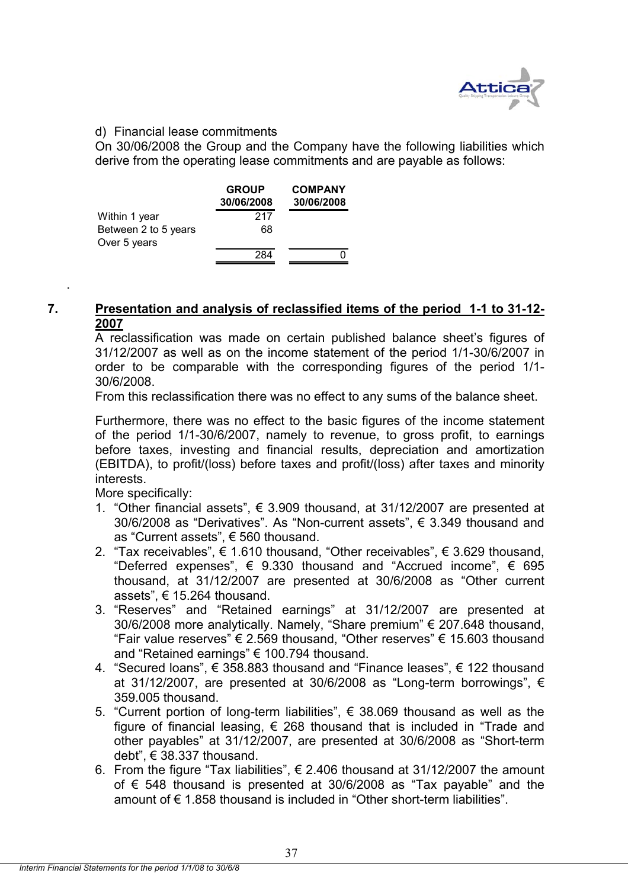

## d) Financial lease commitments

On 30/06/2008 the Group and the Company have the following liabilities which derive from the operating lease commitments and are payable as follows:

|                      | <b>GROUP</b><br>30/06/2008 | <b>COMPANY</b><br>30/06/2008 |
|----------------------|----------------------------|------------------------------|
| Within 1 year        | 217                        |                              |
| Between 2 to 5 years | 68                         |                              |
| Over 5 years         |                            |                              |
|                      | 284                        |                              |

## **7. Presentation and analysis of reclassified items of the period 1-1 to 31-12- 2007**

A reclassification was made on certain published balance sheet's figures of 31/12/2007 as well as on the income statement of the period 1/1-30/6/2007 in order to be comparable with the corresponding figures of the period 1/1- 30/6/2008.

From this reclassification there was no effect to any sums of the balance sheet.

Furthermore, there was no effect to the basic figures of the income statement of the period 1/1-30/6/2007, namely to revenue, to gross profit, to earnings before taxes, investing and financial results, depreciation and amortization (EBITDA), to profit/(loss) before taxes and profit/(loss) after taxes and minority interests.

More specifically:

.

- 1. "Other financial assets",  $\epsilon$  3.909 thousand, at 31/12/2007 are presented at 30/6/2008 as "Derivatives". As "Non-current assets", € 3.349 thousand and as "Current assets", € 560 thousand.
- 2. "Tax receivables",  $\acute{\text{e}}$  1.610 thousand, "Other receivables", € 3.629 thousand, "Deferred expenses",  $\epsilon$  9.330 thousand and "Accrued income",  $\epsilon$  695 thousand, at 31/12/2007 are presented at 30/6/2008 as "Other current assets", € 15.264 thousand.
- 3. "Reserves" and "Retained earnings" at 31/12/2007 are presented at 30/6/2008 more analytically. Namely, "Share premium" € 207.648 thousand, "Fair value reserves" € 2.569 thousand, "Other reserves"  $\epsilon$  15.603 thousand and "Retained earnings" € 100.794 thousand.
- 4. "Secured loans", € 358.883 thousand and "Finance leases", € 122 thousand at 31/12/2007, are presented at 30/6/2008 as "Long-term borrowings",  $\epsilon$ 359.005 thousand.
- 5. "Current portion of long-term liabilities",  $\epsilon$  38.069 thousand as well as the figure of financial leasing,  $\epsilon$  268 thousand that is included in "Trade and other payables" at 31/12/2007, are presented at 30/6/2008 as "Short-term debt", € 38.337 thousand.
- 6. From the figure "Tax liabilities", € 2.406 thousand at 31/12/2007 the amount of € 548 thousand is presented at 30/6/2008 as "Tax payable" and the amount of € 1.858 thousand is included in "Other short-term liabilities".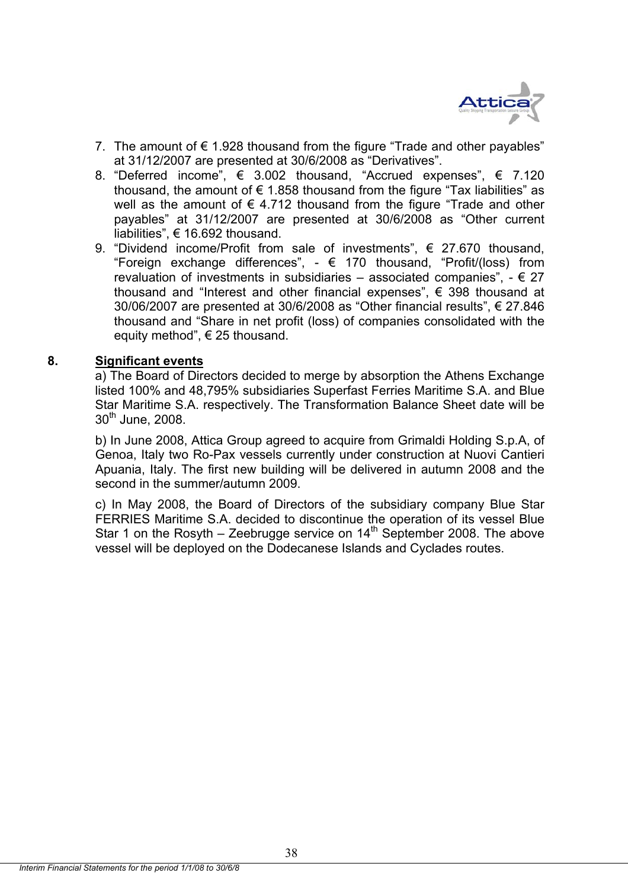

- 7. The amount of  $\epsilon$  1.928 thousand from the figure "Trade and other payables" at 31/12/2007 are presented at 30/6/2008 as "Derivatives".
- 8. "Deferred income",  $\epsilon$  3.002 thousand, "Accrued expenses",  $\epsilon$  7.120 thousand, the amount of  $\epsilon$  1.858 thousand from the figure "Tax liabilities" as well as the amount of  $\epsilon$  4.712 thousand from the figure "Trade and other payables" at 31/12/2007 are presented at 30/6/2008 as "Other current liabilities", € 16.692 thousand.
- 9. "Dividend income/Profit from sale of investments", € 27.670 thousand, "Foreign exchange differences",  $\epsilon$  170 thousand, "Profit/(loss) from revaluation of investments in subsidiaries – associated companies",  $- \in 27$ thousand and "Interest and other financial expenses", € 398 thousand at 30/06/2007 are presented at 30/6/2008 as "Other financial results", € 27.846 thousand and "Share in net profit (loss) of companies consolidated with the equity method",  $\in$  25 thousand.

## **8. Significant events**

a) The Board of Directors decided to merge by absorption the Athens Exchange listed 100% and 48,795% subsidiaries Superfast Ferries Maritime S.A. and Blue Star Maritime S.A. respectively. The Transformation Balance Sheet date will be  $30<sup>th</sup>$  June, 2008.

b) In June 2008, Attica Group agreed to acquire from Grimaldi Holding S.p.A, of Genoa, Italy two Ro-Pax vessels currently under construction at Nuovi Cantieri Apuania, Italy. The first new building will be delivered in autumn 2008 and the second in the summer/autumn 2009.

c) In May 2008, the Board of Directors of the subsidiary company Blue Star FERRIES Maritime S.A. decided to discontinue the operation of its vessel Blue Star 1 on the Rosyth – Zeebrugge service on  $14<sup>th</sup>$  September 2008. The above vessel will be deployed on the Dodecanese Islands and Cyclades routes.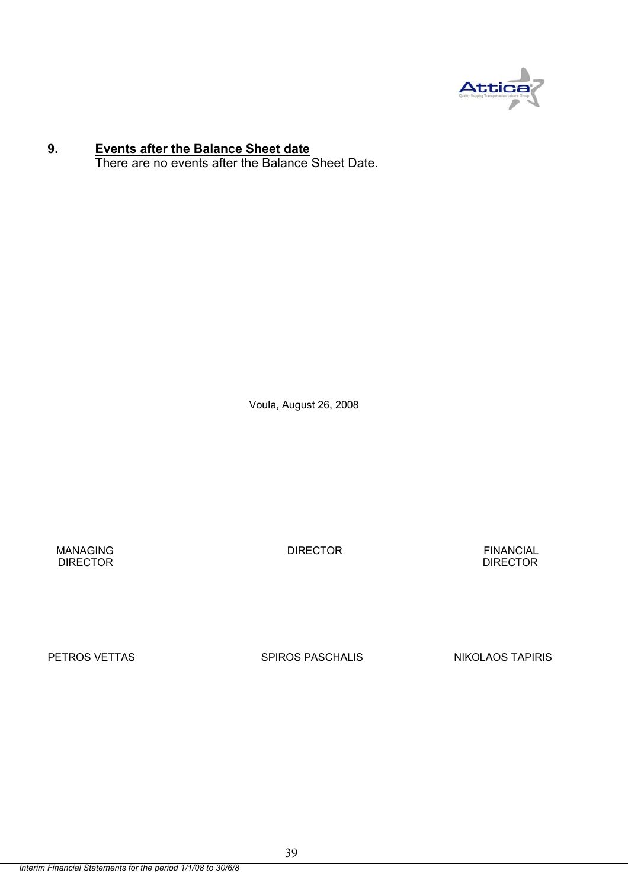

### **9. Events after the Balance Sheet date**

There are no events after the Balance Sheet Date.

Voula, August 26, 2008

 MANAGING DIRECTOR FINANCIAL **DIRECTOR** DIRECTOR **DIRECTOR** 

PETROS VETTAS SPIROS PASCHALIS NIKOLAOS TAPIRIS